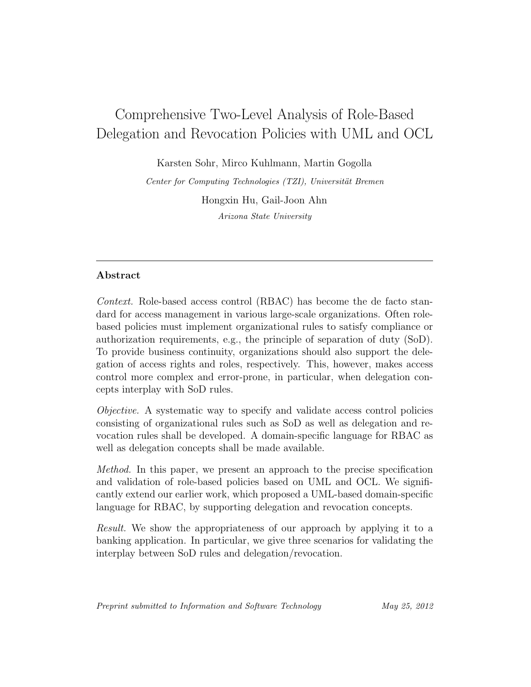# Comprehensive Two-Level Analysis of Role-Based Delegation and Revocation Policies with UML and OCL

Karsten Sohr, Mirco Kuhlmann, Martin Gogolla

Center for Computing Technologies (TZI), Universität Bremen

Hongxin Hu, Gail-Joon Ahn Arizona State University

## Abstract

Context. Role-based access control (RBAC) has become the de facto standard for access management in various large-scale organizations. Often rolebased policies must implement organizational rules to satisfy compliance or authorization requirements, e.g., the principle of separation of duty (SoD). To provide business continuity, organizations should also support the delegation of access rights and roles, respectively. This, however, makes access control more complex and error-prone, in particular, when delegation concepts interplay with SoD rules.

Objective. A systematic way to specify and validate access control policies consisting of organizational rules such as SoD as well as delegation and revocation rules shall be developed. A domain-specific language for RBAC as well as delegation concepts shall be made available.

Method. In this paper, we present an approach to the precise specification and validation of role-based policies based on UML and OCL. We significantly extend our earlier work, which proposed a UML-based domain-specific language for RBAC, by supporting delegation and revocation concepts.

Result. We show the appropriateness of our approach by applying it to a banking application. In particular, we give three scenarios for validating the interplay between SoD rules and delegation/revocation.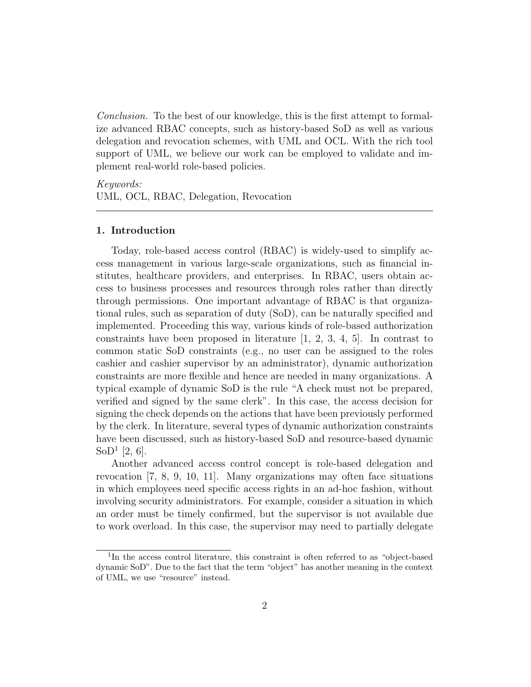Conclusion. To the best of our knowledge, this is the first attempt to formalize advanced RBAC concepts, such as history-based SoD as well as various delegation and revocation schemes, with UML and OCL. With the rich tool support of UML, we believe our work can be employed to validate and implement real-world role-based policies.

Keywords: UML, OCL, RBAC, Delegation, Revocation

#### 1. Introduction

Today, role-based access control (RBAC) is widely-used to simplify access management in various large-scale organizations, such as financial institutes, healthcare providers, and enterprises. In RBAC, users obtain access to business processes and resources through roles rather than directly through permissions. One important advantage of RBAC is that organizational rules, such as separation of duty (SoD), can be naturally specified and implemented. Proceeding this way, various kinds of role-based authorization constraints have been proposed in literature [1, 2, 3, 4, 5]. In contrast to common static SoD constraints (e.g., no user can be assigned to the roles cashier and cashier supervisor by an administrator), dynamic authorization constraints are more flexible and hence are needed in many organizations. A typical example of dynamic SoD is the rule "A check must not be prepared, verified and signed by the same clerk". In this case, the access decision for signing the check depends on the actions that have been previously performed by the clerk. In literature, several types of dynamic authorization constraints have been discussed, such as history-based SoD and resource-based dynamic So $D^1$  [2, 6].

Another advanced access control concept is role-based delegation and revocation [7, 8, 9, 10, 11]. Many organizations may often face situations in which employees need specific access rights in an ad-hoc fashion, without involving security administrators. For example, consider a situation in which an order must be timely confirmed, but the supervisor is not available due to work overload. In this case, the supervisor may need to partially delegate

<sup>&</sup>lt;sup>1</sup>In the access control literature, this constraint is often referred to as "object-based dynamic SoD". Due to the fact that the term "object" has another meaning in the context of UML, we use "resource" instead.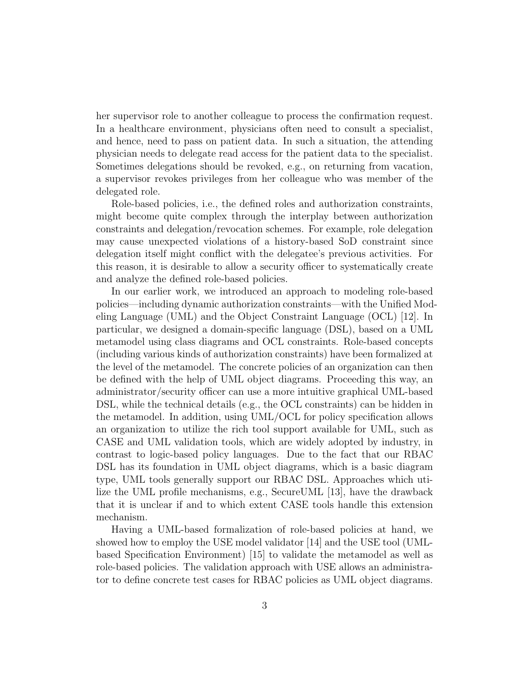her supervisor role to another colleague to process the confirmation request. In a healthcare environment, physicians often need to consult a specialist, and hence, need to pass on patient data. In such a situation, the attending physician needs to delegate read access for the patient data to the specialist. Sometimes delegations should be revoked, e.g., on returning from vacation, a supervisor revokes privileges from her colleague who was member of the delegated role.

Role-based policies, i.e., the defined roles and authorization constraints, might become quite complex through the interplay between authorization constraints and delegation/revocation schemes. For example, role delegation may cause unexpected violations of a history-based SoD constraint since delegation itself might conflict with the delegatee's previous activities. For this reason, it is desirable to allow a security officer to systematically create and analyze the defined role-based policies.

In our earlier work, we introduced an approach to modeling role-based policies—including dynamic authorization constraints—with the Unified Modeling Language (UML) and the Object Constraint Language (OCL) [12]. In particular, we designed a domain-specific language (DSL), based on a UML metamodel using class diagrams and OCL constraints. Role-based concepts (including various kinds of authorization constraints) have been formalized at the level of the metamodel. The concrete policies of an organization can then be defined with the help of UML object diagrams. Proceeding this way, an administrator/security officer can use a more intuitive graphical UML-based DSL, while the technical details (e.g., the OCL constraints) can be hidden in the metamodel. In addition, using UML/OCL for policy specification allows an organization to utilize the rich tool support available for UML, such as CASE and UML validation tools, which are widely adopted by industry, in contrast to logic-based policy languages. Due to the fact that our RBAC DSL has its foundation in UML object diagrams, which is a basic diagram type, UML tools generally support our RBAC DSL. Approaches which utilize the UML profile mechanisms, e.g., SecureUML [13], have the drawback that it is unclear if and to which extent CASE tools handle this extension mechanism.

Having a UML-based formalization of role-based policies at hand, we showed how to employ the USE model validator [14] and the USE tool (UMLbased Specification Environment) [15] to validate the metamodel as well as role-based policies. The validation approach with USE allows an administrator to define concrete test cases for RBAC policies as UML object diagrams.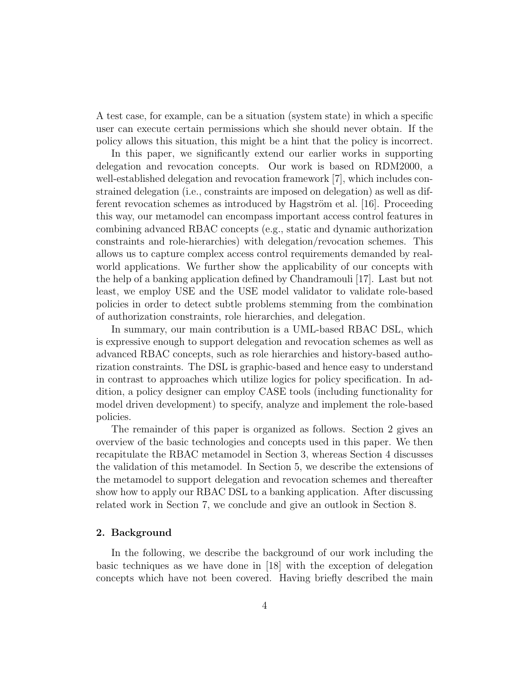A test case, for example, can be a situation (system state) in which a specific user can execute certain permissions which she should never obtain. If the policy allows this situation, this might be a hint that the policy is incorrect.

In this paper, we significantly extend our earlier works in supporting delegation and revocation concepts. Our work is based on RDM2000, a well-established delegation and revocation framework [7], which includes constrained delegation (i.e., constraints are imposed on delegation) as well as different revocation schemes as introduced by Hagström et al. [16]. Proceeding this way, our metamodel can encompass important access control features in combining advanced RBAC concepts (e.g., static and dynamic authorization constraints and role-hierarchies) with delegation/revocation schemes. This allows us to capture complex access control requirements demanded by realworld applications. We further show the applicability of our concepts with the help of a banking application defined by Chandramouli [17]. Last but not least, we employ USE and the USE model validator to validate role-based policies in order to detect subtle problems stemming from the combination of authorization constraints, role hierarchies, and delegation.

In summary, our main contribution is a UML-based RBAC DSL, which is expressive enough to support delegation and revocation schemes as well as advanced RBAC concepts, such as role hierarchies and history-based authorization constraints. The DSL is graphic-based and hence easy to understand in contrast to approaches which utilize logics for policy specification. In addition, a policy designer can employ CASE tools (including functionality for model driven development) to specify, analyze and implement the role-based policies.

The remainder of this paper is organized as follows. Section 2 gives an overview of the basic technologies and concepts used in this paper. We then recapitulate the RBAC metamodel in Section 3, whereas Section 4 discusses the validation of this metamodel. In Section 5, we describe the extensions of the metamodel to support delegation and revocation schemes and thereafter show how to apply our RBAC DSL to a banking application. After discussing related work in Section 7, we conclude and give an outlook in Section 8.

#### 2. Background

In the following, we describe the background of our work including the basic techniques as we have done in [18] with the exception of delegation concepts which have not been covered. Having briefly described the main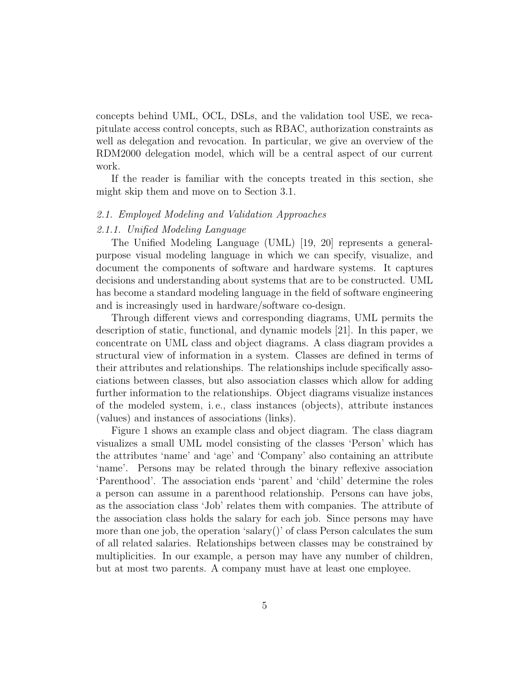concepts behind UML, OCL, DSLs, and the validation tool USE, we recapitulate access control concepts, such as RBAC, authorization constraints as well as delegation and revocation. In particular, we give an overview of the RDM2000 delegation model, which will be a central aspect of our current work.

If the reader is familiar with the concepts treated in this section, she might skip them and move on to Section 3.1.

## 2.1. Employed Modeling and Validation Approaches

## 2.1.1. Unified Modeling Language

The Unified Modeling Language (UML) [19, 20] represents a generalpurpose visual modeling language in which we can specify, visualize, and document the components of software and hardware systems. It captures decisions and understanding about systems that are to be constructed. UML has become a standard modeling language in the field of software engineering and is increasingly used in hardware/software co-design.

Through different views and corresponding diagrams, UML permits the description of static, functional, and dynamic models [21]. In this paper, we concentrate on UML class and object diagrams. A class diagram provides a structural view of information in a system. Classes are defined in terms of their attributes and relationships. The relationships include specifically associations between classes, but also association classes which allow for adding further information to the relationships. Object diagrams visualize instances of the modeled system, i. e., class instances (objects), attribute instances (values) and instances of associations (links).

Figure 1 shows an example class and object diagram. The class diagram visualizes a small UML model consisting of the classes 'Person' which has the attributes 'name' and 'age' and 'Company' also containing an attribute 'name'. Persons may be related through the binary reflexive association 'Parenthood'. The association ends 'parent' and 'child' determine the roles a person can assume in a parenthood relationship. Persons can have jobs, as the association class 'Job' relates them with companies. The attribute of the association class holds the salary for each job. Since persons may have more than one job, the operation 'salary()' of class Person calculates the sum of all related salaries. Relationships between classes may be constrained by multiplicities. In our example, a person may have any number of children, but at most two parents. A company must have at least one employee.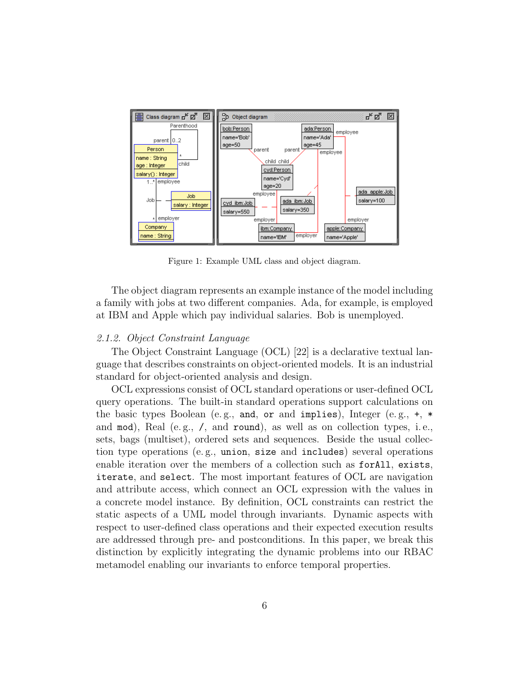

Figure 1: Example UML class and object diagram.

The object diagram represents an example instance of the model including a family with jobs at two different companies. Ada, for example, is employed at IBM and Apple which pay individual salaries. Bob is unemployed.

## 2.1.2. Object Constraint Language

The Object Constraint Language (OCL) [22] is a declarative textual language that describes constraints on object-oriented models. It is an industrial standard for object-oriented analysis and design.

OCL expressions consist of OCL standard operations or user-defined OCL query operations. The built-in standard operations support calculations on the basic types Boolean (e.g., and, or and implies), Integer (e.g.,  $+, *$ and  $mod$ ), Real (e.g.,  $\prime$ , and round), as well as on collection types, i.e., sets, bags (multiset), ordered sets and sequences. Beside the usual collection type operations (e.g., union, size and includes) several operations enable iteration over the members of a collection such as forAll, exists, iterate, and select. The most important features of OCL are navigation and attribute access, which connect an OCL expression with the values in a concrete model instance. By definition, OCL constraints can restrict the static aspects of a UML model through invariants. Dynamic aspects with respect to user-defined class operations and their expected execution results are addressed through pre- and postconditions. In this paper, we break this distinction by explicitly integrating the dynamic problems into our RBAC metamodel enabling our invariants to enforce temporal properties.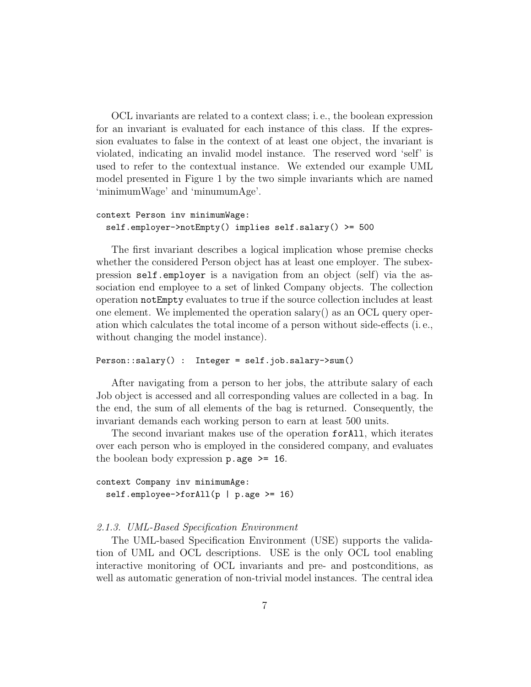OCL invariants are related to a context class; i. e., the boolean expression for an invariant is evaluated for each instance of this class. If the expression evaluates to false in the context of at least one object, the invariant is violated, indicating an invalid model instance. The reserved word 'self' is used to refer to the contextual instance. We extended our example UML model presented in Figure 1 by the two simple invariants which are named 'minimumWage' and 'minumumAge'.

```
context Person inv minimumWage:
  self.employer->notEmpty() implies self.salary() >= 500
```
The first invariant describes a logical implication whose premise checks whether the considered Person object has at least one employer. The subexpression self.employer is a navigation from an object (self) via the association end employee to a set of linked Company objects. The collection operation notEmpty evaluates to true if the source collection includes at least one element. We implemented the operation salary() as an OCL query operation which calculates the total income of a person without side-effects (i. e., without changing the model instance).

Person::salary() : Integer = self.job.salary->sum()

After navigating from a person to her jobs, the attribute salary of each Job object is accessed and all corresponding values are collected in a bag. In the end, the sum of all elements of the bag is returned. Consequently, the invariant demands each working person to earn at least 500 units.

The second invariant makes use of the operation forAll, which iterates over each person who is employed in the considered company, and evaluates the boolean body expression  $p \cdot age \geq 16$ .

context Company inv minimumAge: self.employee->forAll(p | p.age >=  $16$ )

#### 2.1.3. UML-Based Specification Environment

The UML-based Specification Environment (USE) supports the validation of UML and OCL descriptions. USE is the only OCL tool enabling interactive monitoring of OCL invariants and pre- and postconditions, as well as automatic generation of non-trivial model instances. The central idea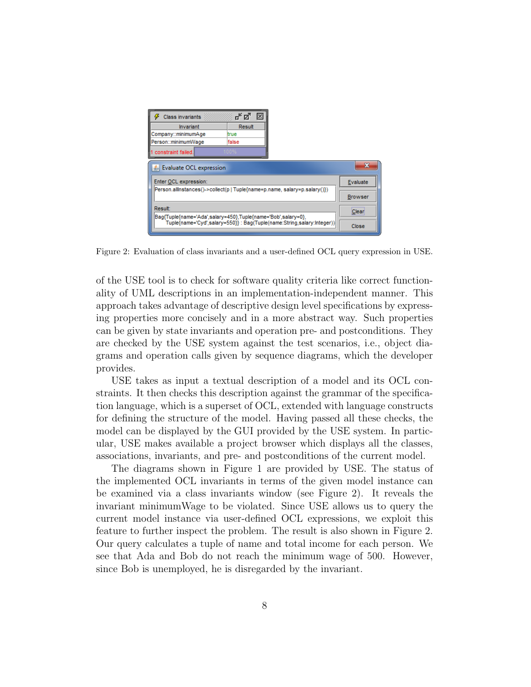| Class invariants 33333333333<br>G.                                        | 마. Q.<br>× |                                                                        |                |
|---------------------------------------------------------------------------|------------|------------------------------------------------------------------------|----------------|
| Invariant                                                                 | Result     |                                                                        |                |
| Company::minimumAge                                                       | true       |                                                                        |                |
| Person::minimumWage                                                       | false      |                                                                        |                |
| constraint failed.                                                        | 100%       |                                                                        |                |
| & Evaluate OCL expression<br>Enter OCL expression:                        |            |                                                                        | x<br>Evaluate  |
| Person.allinstances()->collect(p   Tuple{name=p.name, salary=p.salary()}) |            |                                                                        | <b>Browser</b> |
| Result:                                                                   |            |                                                                        | Clear          |
| Bag{Tuple{name='Ada',salary=450},Tuple{name='Bob',salary=0},              |            |                                                                        |                |
|                                                                           |            | Tuple{name='Cyd',salary=550}} : Bag(Tuple(name:String,salary:Integer)) | Close          |

Figure 2: Evaluation of class invariants and a user-defined OCL query expression in USE.

of the USE tool is to check for software quality criteria like correct functionality of UML descriptions in an implementation-independent manner. This approach takes advantage of descriptive design level specifications by expressing properties more concisely and in a more abstract way. Such properties can be given by state invariants and operation pre- and postconditions. They are checked by the USE system against the test scenarios, i.e., object diagrams and operation calls given by sequence diagrams, which the developer provides.

USE takes as input a textual description of a model and its OCL constraints. It then checks this description against the grammar of the specification language, which is a superset of OCL, extended with language constructs for defining the structure of the model. Having passed all these checks, the model can be displayed by the GUI provided by the USE system. In particular, USE makes available a project browser which displays all the classes, associations, invariants, and pre- and postconditions of the current model.

The diagrams shown in Figure 1 are provided by USE. The status of the implemented OCL invariants in terms of the given model instance can be examined via a class invariants window (see Figure 2). It reveals the invariant minimumWage to be violated. Since USE allows us to query the current model instance via user-defined OCL expressions, we exploit this feature to further inspect the problem. The result is also shown in Figure 2. Our query calculates a tuple of name and total income for each person. We see that Ada and Bob do not reach the minimum wage of 500. However, since Bob is unemployed, he is disregarded by the invariant.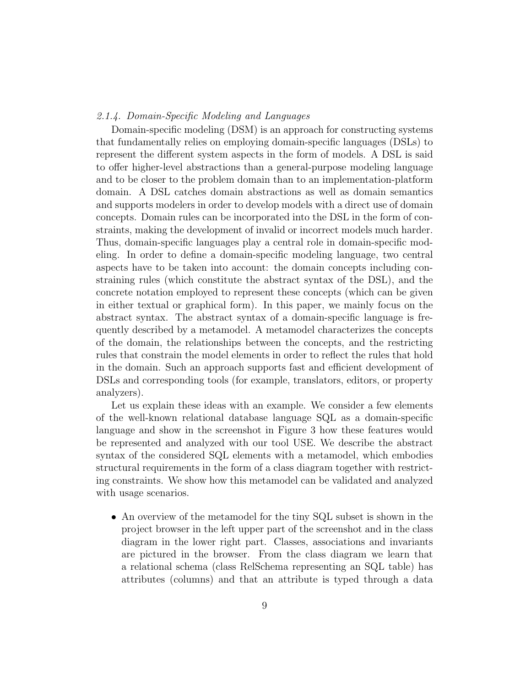## 2.1.4. Domain-Specific Modeling and Languages

Domain-specific modeling (DSM) is an approach for constructing systems that fundamentally relies on employing domain-specific languages (DSLs) to represent the different system aspects in the form of models. A DSL is said to offer higher-level abstractions than a general-purpose modeling language and to be closer to the problem domain than to an implementation-platform domain. A DSL catches domain abstractions as well as domain semantics and supports modelers in order to develop models with a direct use of domain concepts. Domain rules can be incorporated into the DSL in the form of constraints, making the development of invalid or incorrect models much harder. Thus, domain-specific languages play a central role in domain-specific modeling. In order to define a domain-specific modeling language, two central aspects have to be taken into account: the domain concepts including constraining rules (which constitute the abstract syntax of the DSL), and the concrete notation employed to represent these concepts (which can be given in either textual or graphical form). In this paper, we mainly focus on the abstract syntax. The abstract syntax of a domain-specific language is frequently described by a metamodel. A metamodel characterizes the concepts of the domain, the relationships between the concepts, and the restricting rules that constrain the model elements in order to reflect the rules that hold in the domain. Such an approach supports fast and efficient development of DSLs and corresponding tools (for example, translators, editors, or property analyzers).

Let us explain these ideas with an example. We consider a few elements of the well-known relational database language SQL as a domain-specific language and show in the screenshot in Figure 3 how these features would be represented and analyzed with our tool USE. We describe the abstract syntax of the considered SQL elements with a metamodel, which embodies structural requirements in the form of a class diagram together with restricting constraints. We show how this metamodel can be validated and analyzed with usage scenarios.

• An overview of the metamodel for the tiny SQL subset is shown in the project browser in the left upper part of the screenshot and in the class diagram in the lower right part. Classes, associations and invariants are pictured in the browser. From the class diagram we learn that a relational schema (class RelSchema representing an SQL table) has attributes (columns) and that an attribute is typed through a data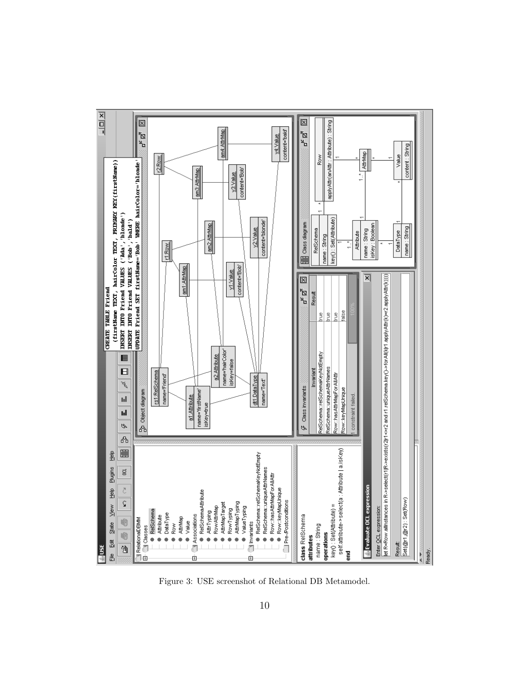

Figure 3: USE screenshot of Relational DB Metamodel.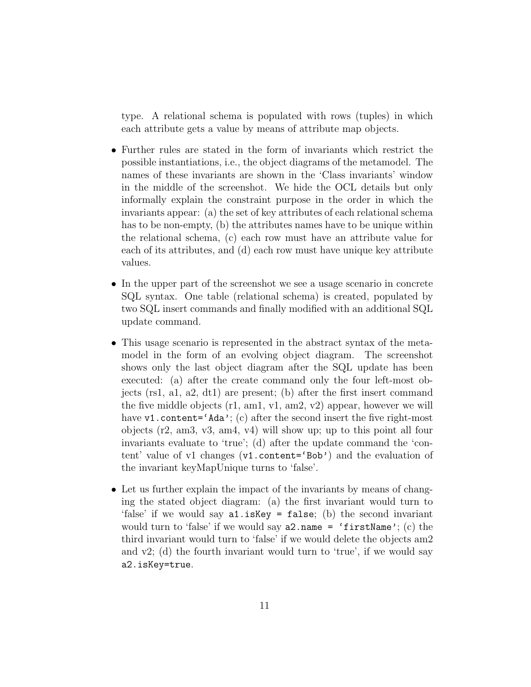type. A relational schema is populated with rows (tuples) in which each attribute gets a value by means of attribute map objects.

- Further rules are stated in the form of invariants which restrict the possible instantiations, i.e., the object diagrams of the metamodel. The names of these invariants are shown in the 'Class invariants' window in the middle of the screenshot. We hide the OCL details but only informally explain the constraint purpose in the order in which the invariants appear: (a) the set of key attributes of each relational schema has to be non-empty, (b) the attributes names have to be unique within the relational schema, (c) each row must have an attribute value for each of its attributes, and (d) each row must have unique key attribute values.
- In the upper part of the screenshot we see a usage scenario in concrete SQL syntax. One table (relational schema) is created, populated by two SQL insert commands and finally modified with an additional SQL update command.
- This usage scenario is represented in the abstract syntax of the metamodel in the form of an evolving object diagram. The screenshot shows only the last object diagram after the SQL update has been executed: (a) after the create command only the four left-most objects (rs1, a1, a2, dt1) are present; (b) after the first insert command the five middle objects (r1, am1, v1, am2, v2) appear, however we will have  $v1$ . content='Ada'; (c) after the second insert the five right-most objects (r2, am3, v3, am4, v4) will show up; up to this point all four invariants evaluate to 'true'; (d) after the update command the 'content' value of v1 changes (v1.content='Bob') and the evaluation of the invariant keyMapUnique turns to 'false'.
- Let us further explain the impact of the invariants by means of changing the stated object diagram: (a) the first invariant would turn to 'false' if we would say a1.isKey = false; (b) the second invariant would turn to 'false' if we would say  $a2.name = 'firstName'; (c) the$ third invariant would turn to 'false' if we would delete the objects am2 and  $v2$ ; (d) the fourth invariant would turn to 'true', if we would say a2.isKey=true.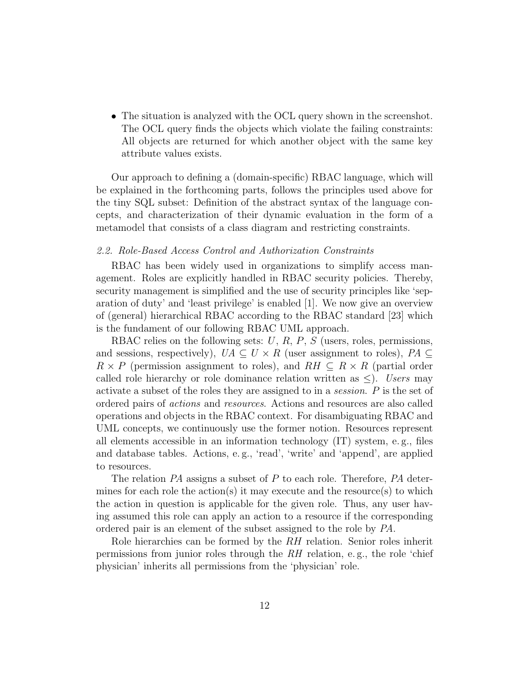• The situation is analyzed with the OCL query shown in the screenshot. The OCL query finds the objects which violate the failing constraints: All objects are returned for which another object with the same key attribute values exists.

Our approach to defining a (domain-specific) RBAC language, which will be explained in the forthcoming parts, follows the principles used above for the tiny SQL subset: Definition of the abstract syntax of the language concepts, and characterization of their dynamic evaluation in the form of a metamodel that consists of a class diagram and restricting constraints.

## 2.2. Role-Based Access Control and Authorization Constraints

RBAC has been widely used in organizations to simplify access management. Roles are explicitly handled in RBAC security policies. Thereby, security management is simplified and the use of security principles like 'separation of duty' and 'least privilege' is enabled [1]. We now give an overview of (general) hierarchical RBAC according to the RBAC standard [23] which is the fundament of our following RBAC UML approach.

RBAC relies on the following sets:  $U, R, P, S$  (users, roles, permissions, and sessions, respectively),  $UA \subseteq U \times R$  (user assignment to roles),  $PA \subseteq$  $R \times P$  (permission assignment to roles), and  $RH \subseteq R \times R$  (partial order called role hierarchy or role dominance relation written as  $\leq$ ). Users may activate a subset of the roles they are assigned to in a session. P is the set of ordered pairs of actions and resources. Actions and resources are also called operations and objects in the RBAC context. For disambiguating RBAC and UML concepts, we continuously use the former notion. Resources represent all elements accessible in an information technology (IT) system, e. g., files and database tables. Actions, e. g., 'read', 'write' and 'append', are applied to resources.

The relation PA assigns a subset of P to each role. Therefore, PA determines for each role the action(s) it may execute and the resource(s) to which the action in question is applicable for the given role. Thus, any user having assumed this role can apply an action to a resource if the corresponding ordered pair is an element of the subset assigned to the role by PA.

Role hierarchies can be formed by the RH relation. Senior roles inherit permissions from junior roles through the  $RH$  relation, e.g., the role 'chief physician' inherits all permissions from the 'physician' role.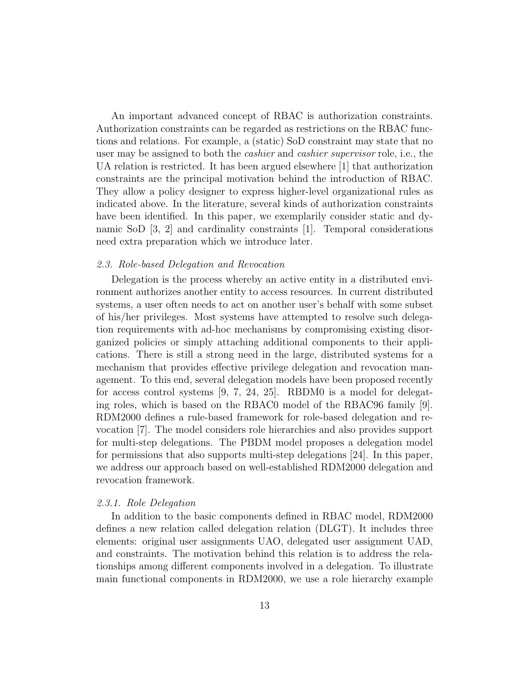An important advanced concept of RBAC is authorization constraints. Authorization constraints can be regarded as restrictions on the RBAC functions and relations. For example, a (static) SoD constraint may state that no user may be assigned to both the cashier and cashier supervisor role, i.e., the UA relation is restricted. It has been argued elsewhere [1] that authorization constraints are the principal motivation behind the introduction of RBAC. They allow a policy designer to express higher-level organizational rules as indicated above. In the literature, several kinds of authorization constraints have been identified. In this paper, we exemplarily consider static and dynamic SoD [3, 2] and cardinality constraints [1]. Temporal considerations need extra preparation which we introduce later.

#### 2.3. Role-based Delegation and Revocation

Delegation is the process whereby an active entity in a distributed environment authorizes another entity to access resources. In current distributed systems, a user often needs to act on another user's behalf with some subset of his/her privileges. Most systems have attempted to resolve such delegation requirements with ad-hoc mechanisms by compromising existing disorganized policies or simply attaching additional components to their applications. There is still a strong need in the large, distributed systems for a mechanism that provides effective privilege delegation and revocation management. To this end, several delegation models have been proposed recently for access control systems [9, 7, 24, 25]. RBDM0 is a model for delegating roles, which is based on the RBAC0 model of the RBAC96 family [9]. RDM2000 defines a rule-based framework for role-based delegation and revocation [7]. The model considers role hierarchies and also provides support for multi-step delegations. The PBDM model proposes a delegation model for permissions that also supports multi-step delegations [24]. In this paper, we address our approach based on well-established RDM2000 delegation and revocation framework.

## 2.3.1. Role Delegation

In addition to the basic components defined in RBAC model, RDM2000 defines a new relation called delegation relation (DLGT). It includes three elements: original user assignments UAO, delegated user assignment UAD, and constraints. The motivation behind this relation is to address the relationships among different components involved in a delegation. To illustrate main functional components in RDM2000, we use a role hierarchy example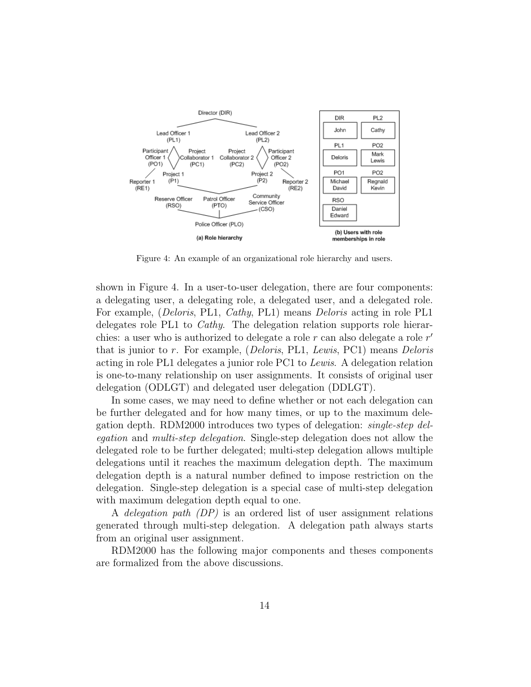

Figure 4: An example of an organizational role hierarchy and users.

shown in Figure 4. In a user-to-user delegation, there are four components: a delegating user, a delegating role, a delegated user, and a delegated role. For example, (Deloris, PL1, Cathy, PL1) means Deloris acting in role PL1 delegates role PL1 to Cathy. The delegation relation supports role hierarchies: a user who is authorized to delegate a role  $r$  can also delegate a role  $r'$ that is junior to r. For example, (Deloris, PL1, Lewis, PC1) means Deloris acting in role PL1 delegates a junior role PC1 to Lewis. A delegation relation is one-to-many relationship on user assignments. It consists of original user delegation (ODLGT) and delegated user delegation (DDLGT).

In some cases, we may need to define whether or not each delegation can be further delegated and for how many times, or up to the maximum delegation depth. RDM2000 introduces two types of delegation: single-step delegation and multi-step delegation. Single-step delegation does not allow the delegated role to be further delegated; multi-step delegation allows multiple delegations until it reaches the maximum delegation depth. The maximum delegation depth is a natural number defined to impose restriction on the delegation. Single-step delegation is a special case of multi-step delegation with maximum delegation depth equal to one.

A delegation path (DP) is an ordered list of user assignment relations generated through multi-step delegation. A delegation path always starts from an original user assignment.

RDM2000 has the following major components and theses components are formalized from the above discussions.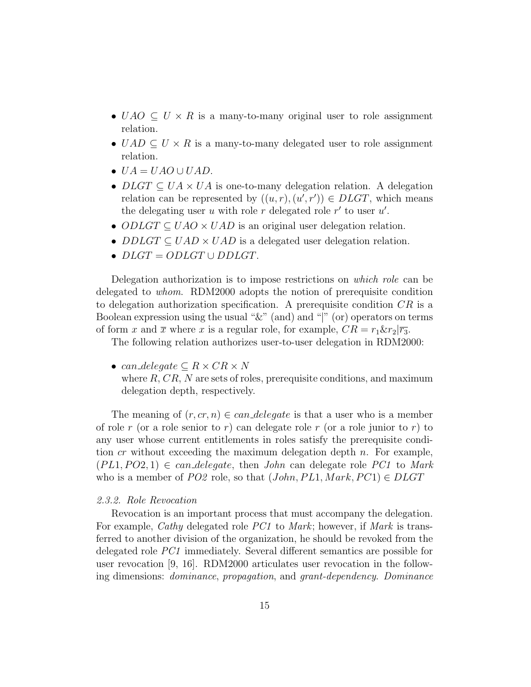- $UAO \subseteq U \times R$  is a many-to-many original user to role assignment relation.
- $UAD \subseteq U \times R$  is a many-to-many delegated user to role assignment relation.
- $UA = UAO \cup UAD$ .
- $DLGT \subseteq UA \times UA$  is one-to-many delegation relation. A delegation relation can be represented by  $((u, r), (u', r')) \in DLGT$ , which means the delegating user u with role r delegated role  $r'$  to user  $u'$ .
- ODLGT  $\subseteq UAO \times UAD$  is an original user delegation relation.
- DDLGT  $\subseteq UAD \times UAD$  is a delegated user delegation relation.
- $DLGT = ODLGT \cup DDLGT$ .

Delegation authorization is to impose restrictions on which role can be delegated to whom. RDM2000 adopts the notion of prerequisite condition to delegation authorization specification. A prerequisite condition  $CR$  is a Boolean expression using the usual " $\&$ " (and) and "|" (or) operators on terms of form x and  $\bar{x}$  where x is a regular role, for example,  $CR = r_1 \& r_2 | \bar{r_3}$ .

The following relation authorizes user-to-user delegation in RDM2000:

• can\_delegate  $\subseteq R \times CR \times N$ where  $R, CR, N$  are sets of roles, prerequisite conditions, and maximum delegation depth, respectively.

The meaning of  $(r, cr, n) \in can$  delegate is that a user who is a member of role r (or a role senior to r) can delegate role r (or a role junior to r) to any user whose current entitlements in roles satisfy the prerequisite condition  $cr$  without exceeding the maximum delegation depth  $n$ . For example,  $(PL1, PO2, 1) \in can$  delegate, then John can delegate role PC1 to Mark who is a member of PO2 role, so that  $(John, PL1, Mark, PC1) \in DLGT$ 

## 2.3.2. Role Revocation

Revocation is an important process that must accompany the delegation. For example, *Cathy* delegated role *PC1* to *Mark*; however, if *Mark* is transferred to another division of the organization, he should be revoked from the delegated role PC1 immediately. Several different semantics are possible for user revocation [9, 16]. RDM2000 articulates user revocation in the following dimensions: dominance, propagation, and grant-dependency. Dominance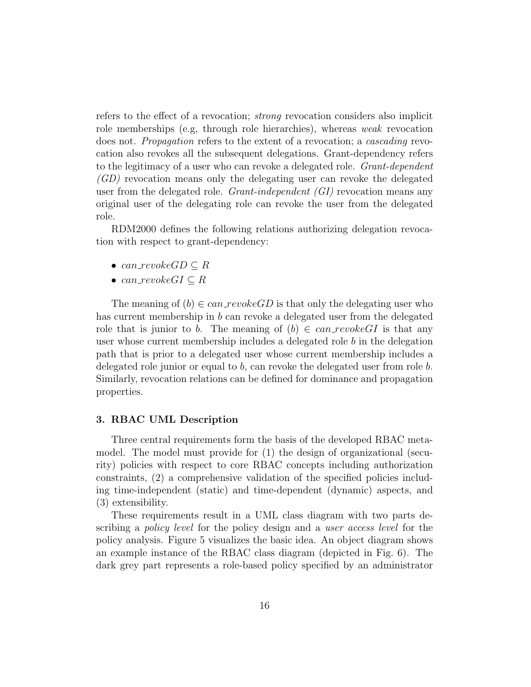refers to the effect of a revocation; strong revocation considers also implicit role memberships (e.g, through role hierarchies), whereas weak revocation does not. Propagation refers to the extent of a revocation; a cascading revocation also revokes all the subsequent delegations. Grant-dependency refers to the legitimacy of a user who can revoke a delegated role. *Grant-dependent* (GD) revocation means only the delegating user can revoke the delegated user from the delegated role. *Grant-independent (GI)* revocation means any original user of the delegating role can revoke the user from the delegated role.

RDM2000 defines the following relations authorizing delegation revocation with respect to grant-dependency:

- can\_revoke $GD \subseteq R$
- can\_revoke $GI \subseteq R$

The meaning of  $(b) \in can\_revokeGD$  is that only the delegating user who has current membership in b can revoke a delegated user from the delegated role that is junior to b. The meaning of  $(b) \in can\_revokeGI$  is that any user whose current membership includes a delegated role b in the delegation path that is prior to a delegated user whose current membership includes a delegated role junior or equal to b, can revoke the delegated user from role b. Similarly, revocation relations can be defined for dominance and propagation properties.

## 3. RBAC UML Description

Three central requirements form the basis of the developed RBAC metamodel. The model must provide for (1) the design of organizational (security) policies with respect to core RBAC concepts including authorization constraints, (2) a comprehensive validation of the specified policies including time-independent (static) and time-dependent (dynamic) aspects, and (3) extensibility.

These requirements result in a UML class diagram with two parts describing a *policy level* for the policy design and a *user access level* for the policy analysis. Figure 5 visualizes the basic idea. An object diagram shows an example instance of the RBAC class diagram (depicted in Fig. 6). The dark grey part represents a role-based policy specified by an administrator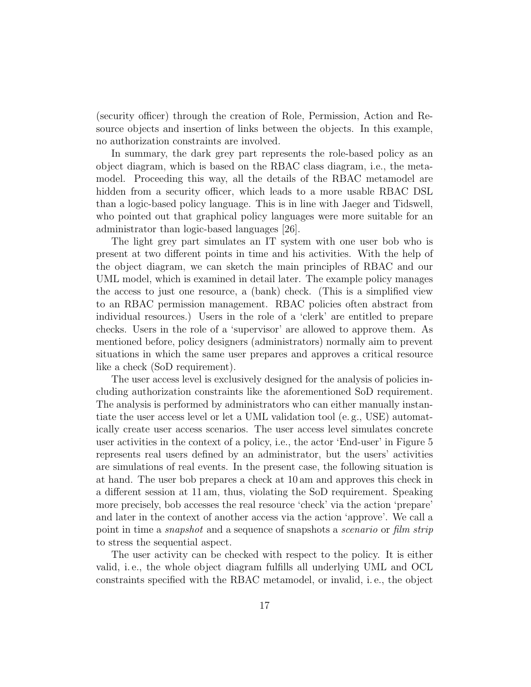(security officer) through the creation of Role, Permission, Action and Resource objects and insertion of links between the objects. In this example, no authorization constraints are involved.

In summary, the dark grey part represents the role-based policy as an object diagram, which is based on the RBAC class diagram, i.e., the metamodel. Proceeding this way, all the details of the RBAC metamodel are hidden from a security officer, which leads to a more usable RBAC DSL than a logic-based policy language. This is in line with Jaeger and Tidswell, who pointed out that graphical policy languages were more suitable for an administrator than logic-based languages [26].

The light grey part simulates an IT system with one user bob who is present at two different points in time and his activities. With the help of the object diagram, we can sketch the main principles of RBAC and our UML model, which is examined in detail later. The example policy manages the access to just one resource, a (bank) check. (This is a simplified view to an RBAC permission management. RBAC policies often abstract from individual resources.) Users in the role of a 'clerk' are entitled to prepare checks. Users in the role of a 'supervisor' are allowed to approve them. As mentioned before, policy designers (administrators) normally aim to prevent situations in which the same user prepares and approves a critical resource like a check (SoD requirement).

The user access level is exclusively designed for the analysis of policies including authorization constraints like the aforementioned SoD requirement. The analysis is performed by administrators who can either manually instantiate the user access level or let a UML validation tool (e. g., USE) automatically create user access scenarios. The user access level simulates concrete user activities in the context of a policy, i.e., the actor 'End-user' in Figure 5 represents real users defined by an administrator, but the users' activities are simulations of real events. In the present case, the following situation is at hand. The user bob prepares a check at 10 am and approves this check in a different session at 11 am, thus, violating the SoD requirement. Speaking more precisely, bob accesses the real resource 'check' via the action 'prepare' and later in the context of another access via the action 'approve'. We call a point in time a *snapshot* and a sequence of snapshots a *scenario* or *film strip* to stress the sequential aspect.

The user activity can be checked with respect to the policy. It is either valid, i. e., the whole object diagram fulfills all underlying UML and OCL constraints specified with the RBAC metamodel, or invalid, i. e., the object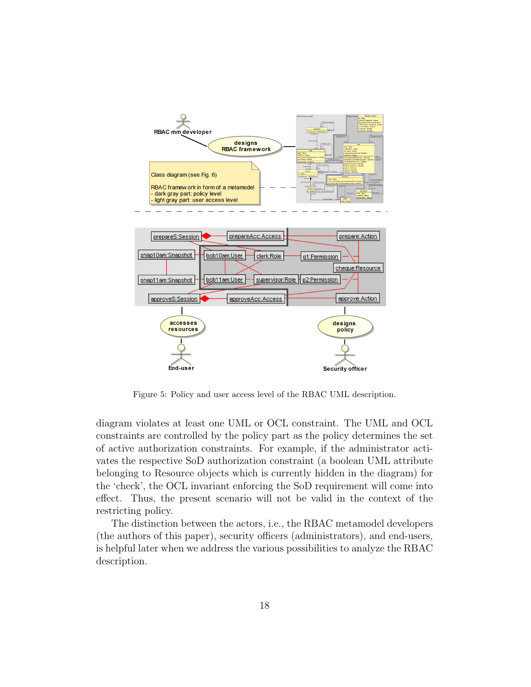

Figure 5: Policy and user access level of the RBAC UML description.

diagram violates at least one UML or OCL constraint. The UML and OCL constraints are controlled by the policy part as the policy determines the set of active authorization constraints. For example, if the administrator activates the respective SoD authorization constraint (a boolean UML attribute belonging to Resource objects which is currently hidden in the diagram) for the 'check', the OCL invariant enforcing the SoD requirement will come into effect. Thus, the present scenario will not be valid in the context of the restricting policy.

The distinction between the actors, i.e., the RBAC metamodel developers (the authors of this paper), security officers (administrators), and end-users, is helpful later when we address the various possibilities to analyze the RBAC description.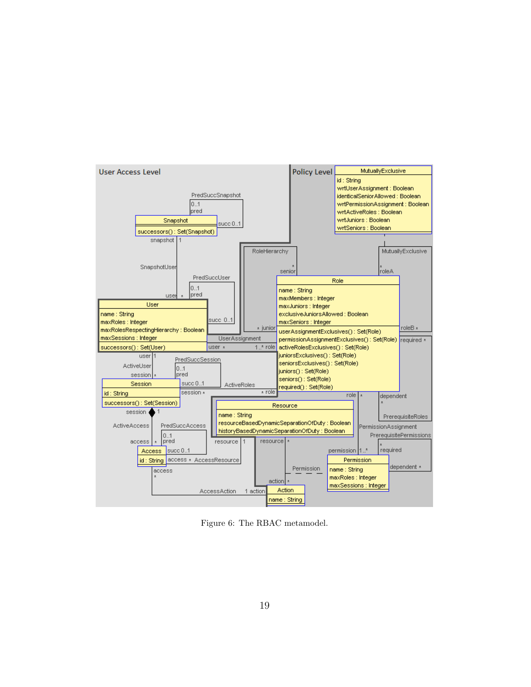

Figure 6: The RBAC metamodel.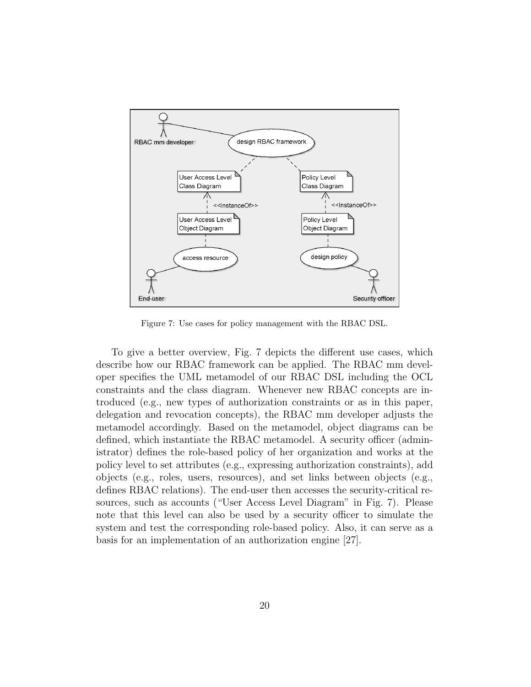

Figure 7: Use cases for policy management with the RBAC DSL.

To give a better overview, Fig. 7 depicts the different use cases, which describe how our RBAC framework can be applied. The RBAC mm developer specifies the UML metamodel of our RBAC DSL including the OCL constraints and the class diagram. Whenever new RBAC concepts are introduced (e.g., new types of authorization constraints or as in this paper, delegation and revocation concepts), the RBAC mm developer adjusts the metamodel accordingly. Based on the metamodel, object diagrams can be defined, which instantiate the RBAC metamodel. A security officer (administrator) defines the role-based policy of her organization and works at the policy level to set attributes (e.g., expressing authorization constraints), add objects (e.g., roles, users, resources), and set links between objects (e.g., defines RBAC relations). The end-user then accesses the security-critical resources, such as accounts ("User Access Level Diagram" in Fig. 7). Please note that this level can also be used by a security officer to simulate the system and test the corresponding role-based policy. Also, it can serve as a basis for an implementation of an authorization engine [27].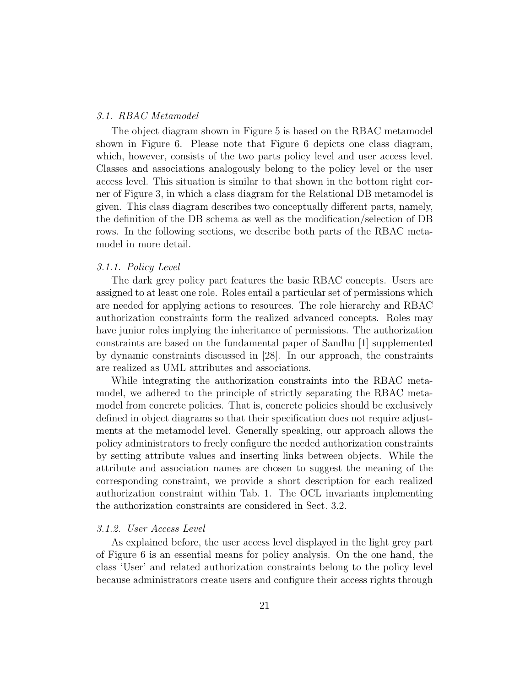## 3.1. RBAC Metamodel

The object diagram shown in Figure 5 is based on the RBAC metamodel shown in Figure 6. Please note that Figure 6 depicts one class diagram, which, however, consists of the two parts policy level and user access level. Classes and associations analogously belong to the policy level or the user access level. This situation is similar to that shown in the bottom right corner of Figure 3, in which a class diagram for the Relational DB metamodel is given. This class diagram describes two conceptually different parts, namely, the definition of the DB schema as well as the modification/selection of DB rows. In the following sections, we describe both parts of the RBAC metamodel in more detail.

## 3.1.1. Policy Level

The dark grey policy part features the basic RBAC concepts. Users are assigned to at least one role. Roles entail a particular set of permissions which are needed for applying actions to resources. The role hierarchy and RBAC authorization constraints form the realized advanced concepts. Roles may have junior roles implying the inheritance of permissions. The authorization constraints are based on the fundamental paper of Sandhu [1] supplemented by dynamic constraints discussed in [28]. In our approach, the constraints are realized as UML attributes and associations.

While integrating the authorization constraints into the RBAC metamodel, we adhered to the principle of strictly separating the RBAC metamodel from concrete policies. That is, concrete policies should be exclusively defined in object diagrams so that their specification does not require adjustments at the metamodel level. Generally speaking, our approach allows the policy administrators to freely configure the needed authorization constraints by setting attribute values and inserting links between objects. While the attribute and association names are chosen to suggest the meaning of the corresponding constraint, we provide a short description for each realized authorization constraint within Tab. 1. The OCL invariants implementing the authorization constraints are considered in Sect. 3.2.

## 3.1.2. User Access Level

As explained before, the user access level displayed in the light grey part of Figure 6 is an essential means for policy analysis. On the one hand, the class 'User' and related authorization constraints belong to the policy level because administrators create users and configure their access rights through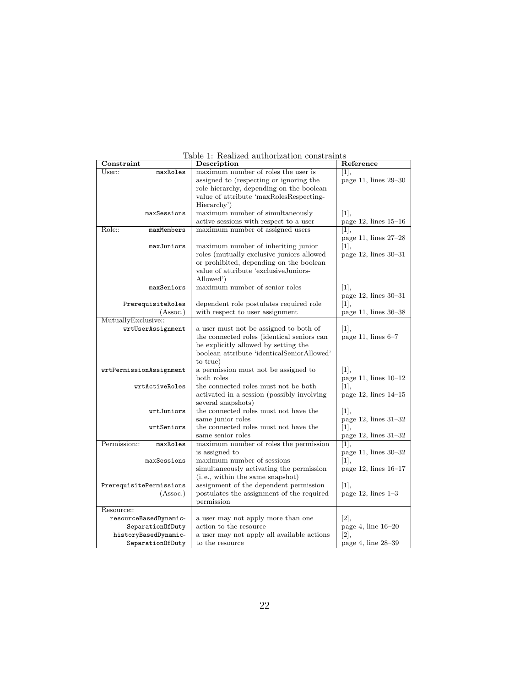|                                               | ւսստ<br>1. Iteanacu authorization constraints |                           |
|-----------------------------------------------|-----------------------------------------------|---------------------------|
| Constraint                                    | Description                                   | Reference                 |
| User:<br>maxRoles                             | maximum number of roles the user is           | 1 ,                       |
|                                               | assigned to (respecting or ignoring the       | page 11, lines $29-30$    |
|                                               | role hierarchy, depending on the boolean      |                           |
|                                               | value of attribute 'maxRolesRespecting-       |                           |
|                                               | Hierarchy')                                   |                           |
| maxSessions                                   | maximum number of simultaneously              | [1],                      |
|                                               | active sessions with respect to a user        | page $12$ , lines $15-16$ |
| Role::<br>maxMembers                          | maximum number of assigned users              | [1],                      |
|                                               |                                               | page 11, lines $27-28$    |
| maxJuniors                                    | maximum number of inheriting junior           | $\lceil 1 \rceil$         |
|                                               | roles (mutually exclusive juniors allowed     | page $12$ , lines $30-31$ |
|                                               | or prohibited, depending on the boolean       |                           |
|                                               |                                               |                           |
|                                               | value of attribute 'exclusiveJuniors-         |                           |
|                                               | Allowed')                                     |                           |
| maxSeniors                                    | maximum number of senior roles                | [1],                      |
|                                               |                                               | page $12$ , lines $30-31$ |
| $\label{eq:recre} \texttt{PrerequisiteRoles}$ | dependent role postulates required role       | [1],                      |
| (Assoc.)                                      | with respect to user assignment               | page 11, lines $36-38$    |
| MutuallyExclusive::                           |                                               |                           |
| wrtUserAssignment                             | a user must not be assigned to both of        | [1],                      |
|                                               | the connected roles (identical seniors can    | page 11, lines $6-7$      |
|                                               | be explicitly allowed by setting the          |                           |
|                                               | boolean attribute 'identicalSeniorAllowed'    |                           |
|                                               | to true)                                      |                           |
| wrtPermissionAssignment                       | a permission must not be assigned to          | [1],                      |
|                                               | both roles                                    | page 11, lines $10-12$    |
| wrtActiveRoles                                | the connected roles must not be both          | [1],                      |
|                                               | activated in a session (possibly involving    |                           |
|                                               |                                               | page $12$ , lines $14-15$ |
|                                               | several snapshots)                            |                           |
| wrtJuniors                                    | the connected roles must not have the         | [1],                      |
|                                               | same junior roles                             | page $12$ , lines $31-32$ |
| wrtSeniors                                    | the connected roles must not have the         | [1],                      |
|                                               | same senior roles                             | page $12$ , lines $31-32$ |
| Permission::<br>maxRoles                      | maximum number of roles the permission        | $\lceil 1 \rceil$ ,       |
|                                               | is assigned to                                | page 11, lines $30-32$    |
| maxSessions                                   | maximum number of sessions                    | 1 ,                       |
|                                               | simultaneously activating the permission      | page $12$ , lines $16-17$ |
|                                               | (i.e., within the same snapshot)              |                           |
| PrerequisitePermissions                       | assignment of the dependent permission        | [1],                      |
| (Assoc.)                                      | postulates the assignment of the required     | page $12$ , lines $1-3$   |
|                                               | permission                                    |                           |
| Resource::                                    |                                               |                           |
| resourceBasedDynamic-                         | a user may not apply more than one            | [2],                      |
| SeparationOfDuty                              | action to the resource                        | page 4, line $16-20$      |
| historyBasedDynamic-                          | a user may not apply all available actions    | [2],                      |
|                                               | to the resource                               |                           |
| SeparationOfDuty                              |                                               | page 4, line 28–39        |

Table 1: Realized authorization constraints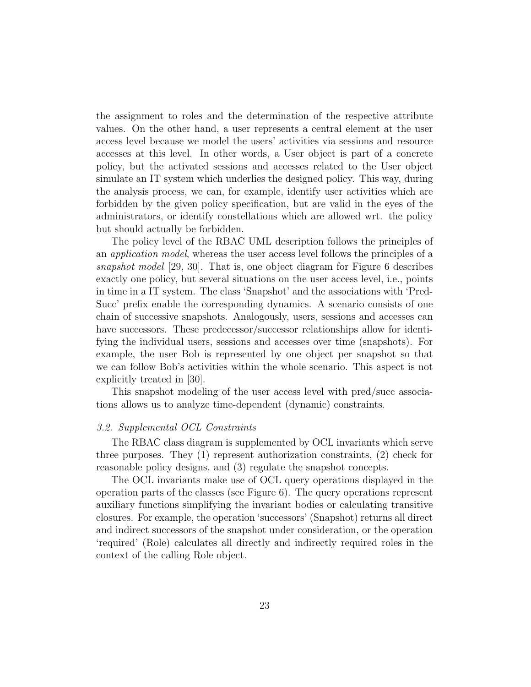the assignment to roles and the determination of the respective attribute values. On the other hand, a user represents a central element at the user access level because we model the users' activities via sessions and resource accesses at this level. In other words, a User object is part of a concrete policy, but the activated sessions and accesses related to the User object simulate an IT system which underlies the designed policy. This way, during the analysis process, we can, for example, identify user activities which are forbidden by the given policy specification, but are valid in the eyes of the administrators, or identify constellations which are allowed wrt. the policy but should actually be forbidden.

The policy level of the RBAC UML description follows the principles of an application model, whereas the user access level follows the principles of a snapshot model [29, 30]. That is, one object diagram for Figure 6 describes exactly one policy, but several situations on the user access level, i.e., points in time in a IT system. The class 'Snapshot' and the associations with 'Pred-Succ' prefix enable the corresponding dynamics. A scenario consists of one chain of successive snapshots. Analogously, users, sessions and accesses can have successors. These predecessor/successor relationships allow for identifying the individual users, sessions and accesses over time (snapshots). For example, the user Bob is represented by one object per snapshot so that we can follow Bob's activities within the whole scenario. This aspect is not explicitly treated in [30].

This snapshot modeling of the user access level with pred/succ associations allows us to analyze time-dependent (dynamic) constraints.

## 3.2. Supplemental OCL Constraints

The RBAC class diagram is supplemented by OCL invariants which serve three purposes. They  $(1)$  represent authorization constraints,  $(2)$  check for reasonable policy designs, and (3) regulate the snapshot concepts.

The OCL invariants make use of OCL query operations displayed in the operation parts of the classes (see Figure 6). The query operations represent auxiliary functions simplifying the invariant bodies or calculating transitive closures. For example, the operation 'successors' (Snapshot) returns all direct and indirect successors of the snapshot under consideration, or the operation 'required' (Role) calculates all directly and indirectly required roles in the context of the calling Role object.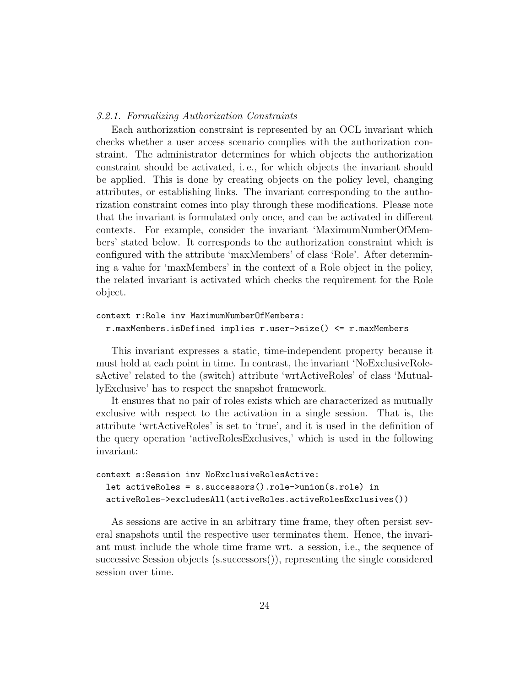#### 3.2.1. Formalizing Authorization Constraints

Each authorization constraint is represented by an OCL invariant which checks whether a user access scenario complies with the authorization constraint. The administrator determines for which objects the authorization constraint should be activated, i. e., for which objects the invariant should be applied. This is done by creating objects on the policy level, changing attributes, or establishing links. The invariant corresponding to the authorization constraint comes into play through these modifications. Please note that the invariant is formulated only once, and can be activated in different contexts. For example, consider the invariant 'MaximumNumberOfMembers' stated below. It corresponds to the authorization constraint which is configured with the attribute 'maxMembers' of class 'Role'. After determining a value for 'maxMembers' in the context of a Role object in the policy, the related invariant is activated which checks the requirement for the Role object.

```
context r:Role inv MaximumNumberOfMembers:
 r.maxMembers.isDefined implies r.user->size() <= r.maxMembers
```
This invariant expresses a static, time-independent property because it must hold at each point in time. In contrast, the invariant 'NoExclusiveRolesActive' related to the (switch) attribute 'wrtActiveRoles' of class 'MutuallyExclusive' has to respect the snapshot framework.

It ensures that no pair of roles exists which are characterized as mutually exclusive with respect to the activation in a single session. That is, the attribute 'wrtActiveRoles' is set to 'true', and it is used in the definition of the query operation 'activeRolesExclusives,' which is used in the following invariant:

```
context s:Session inv NoExclusiveRolesActive:
 let activeRoles = s.successors().role->union(s.role) in
 activeRoles->excludesAll(activeRoles.activeRolesExclusives())
```
As sessions are active in an arbitrary time frame, they often persist several snapshots until the respective user terminates them. Hence, the invariant must include the whole time frame wrt. a session, i.e., the sequence of successive Session objects (s.successors()), representing the single considered session over time.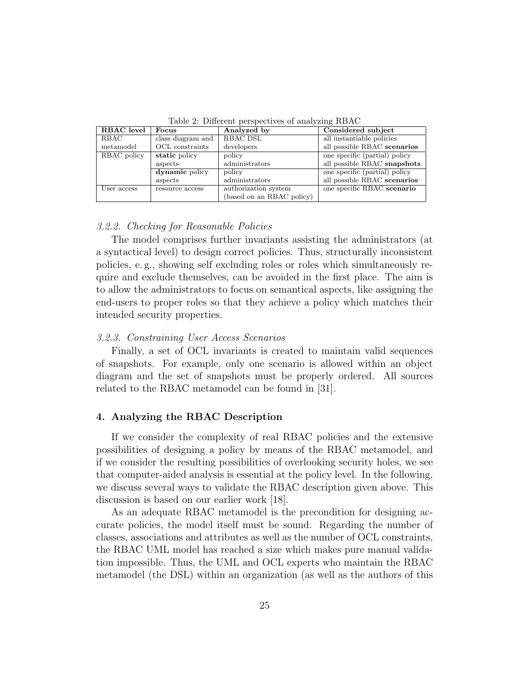| RBAC level  | Focus             | Analyzed by               | Considered subject            |
|-------------|-------------------|---------------------------|-------------------------------|
| <b>RBAC</b> | class diagram and | RBAC DSL                  | all instantiable policies     |
| metamodel   | OCL constraints   | developers                | all possible RBAC scenarios   |
| RBAC policy | static policy     | policy                    | one specific (partial) policy |
|             | aspects           | administrators            | all possible RBAC snapshots   |
|             | dynamic policy    | policy                    | one specific (partial) policy |
|             | aspects           | administrators            | all possible RBAC scenarios   |
| User access | resource access   | authorization system      | one specific RBAC scenario    |
|             |                   | (based on an RBAC policy) |                               |

Table 2: Different perspectives of analyzing RBAC

## 3.2.2. Checking for Reasonable Policies

The model comprises further invariants assisting the administrators (at a syntactical level) to design correct policies. Thus, structurally inconsistent policies, e. g., showing self excluding roles or roles which simultaneously require and exclude themselves, can be avoided in the first place. The aim is to allow the administrators to focus on semantical aspects, like assigning the end-users to proper roles so that they achieve a policy which matches their intended security properties.

## 3.2.3. Constraining User Access Scenarios

Finally, a set of OCL invariants is created to maintain valid sequences of snapshots. For example, only one scenario is allowed within an object diagram and the set of snapshots must be properly ordered. All sources related to the RBAC metamodel can be found in [31].

## 4. Analyzing the RBAC Description

If we consider the complexity of real RBAC policies and the extensive possibilities of designing a policy by means of the RBAC metamodel, and if we consider the resulting possibilities of overlooking security holes, we see that computer-aided analysis is essential at the policy level. In the following, we discuss several ways to validate the RBAC description given above. This discussion is based on our earlier work [18].

As an adequate RBAC metamodel is the precondition for designing accurate policies, the model itself must be sound. Regarding the number of classes, associations and attributes as well as the number of OCL constraints, the RBAC UML model has reached a size which makes pure manual validation impossible. Thus, the UML and OCL experts who maintain the RBAC metamodel (the DSL) within an organization (as well as the authors of this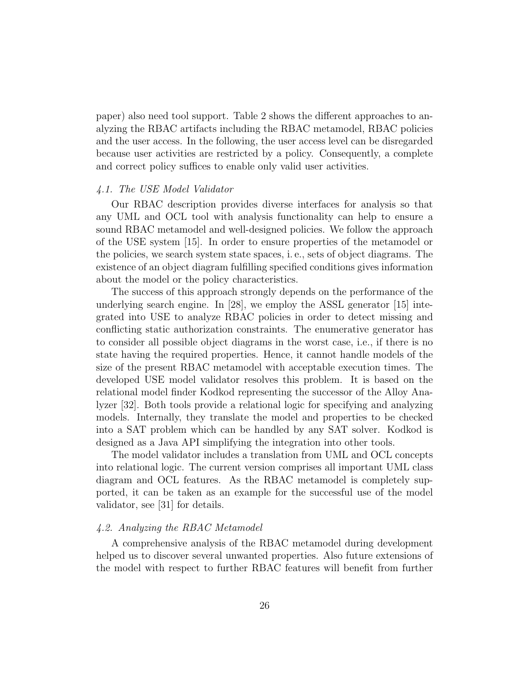paper) also need tool support. Table 2 shows the different approaches to analyzing the RBAC artifacts including the RBAC metamodel, RBAC policies and the user access. In the following, the user access level can be disregarded because user activities are restricted by a policy. Consequently, a complete and correct policy suffices to enable only valid user activities.

## 4.1. The USE Model Validator

Our RBAC description provides diverse interfaces for analysis so that any UML and OCL tool with analysis functionality can help to ensure a sound RBAC metamodel and well-designed policies. We follow the approach of the USE system [15]. In order to ensure properties of the metamodel or the policies, we search system state spaces, i. e., sets of object diagrams. The existence of an object diagram fulfilling specified conditions gives information about the model or the policy characteristics.

The success of this approach strongly depends on the performance of the underlying search engine. In [28], we employ the ASSL generator [15] integrated into USE to analyze RBAC policies in order to detect missing and conflicting static authorization constraints. The enumerative generator has to consider all possible object diagrams in the worst case, i.e., if there is no state having the required properties. Hence, it cannot handle models of the size of the present RBAC metamodel with acceptable execution times. The developed USE model validator resolves this problem. It is based on the relational model finder Kodkod representing the successor of the Alloy Analyzer [32]. Both tools provide a relational logic for specifying and analyzing models. Internally, they translate the model and properties to be checked into a SAT problem which can be handled by any SAT solver. Kodkod is designed as a Java API simplifying the integration into other tools.

The model validator includes a translation from UML and OCL concepts into relational logic. The current version comprises all important UML class diagram and OCL features. As the RBAC metamodel is completely supported, it can be taken as an example for the successful use of the model validator, see [31] for details.

## 4.2. Analyzing the RBAC Metamodel

A comprehensive analysis of the RBAC metamodel during development helped us to discover several unwanted properties. Also future extensions of the model with respect to further RBAC features will benefit from further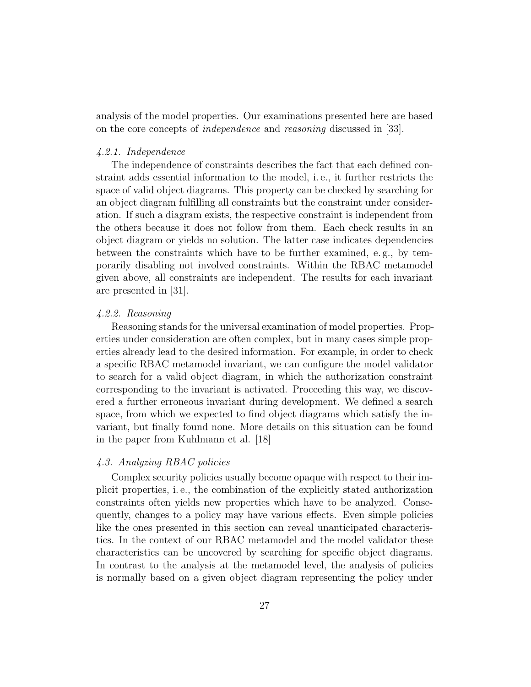analysis of the model properties. Our examinations presented here are based on the core concepts of independence and reasoning discussed in [33].

## 4.2.1. Independence

The independence of constraints describes the fact that each defined constraint adds essential information to the model, i. e., it further restricts the space of valid object diagrams. This property can be checked by searching for an object diagram fulfilling all constraints but the constraint under consideration. If such a diagram exists, the respective constraint is independent from the others because it does not follow from them. Each check results in an object diagram or yields no solution. The latter case indicates dependencies between the constraints which have to be further examined, e. g., by temporarily disabling not involved constraints. Within the RBAC metamodel given above, all constraints are independent. The results for each invariant are presented in [31].

## 4.2.2. Reasoning

Reasoning stands for the universal examination of model properties. Properties under consideration are often complex, but in many cases simple properties already lead to the desired information. For example, in order to check a specific RBAC metamodel invariant, we can configure the model validator to search for a valid object diagram, in which the authorization constraint corresponding to the invariant is activated. Proceeding this way, we discovered a further erroneous invariant during development. We defined a search space, from which we expected to find object diagrams which satisfy the invariant, but finally found none. More details on this situation can be found in the paper from Kuhlmann et al. [18]

#### 4.3. Analyzing RBAC policies

Complex security policies usually become opaque with respect to their implicit properties, i. e., the combination of the explicitly stated authorization constraints often yields new properties which have to be analyzed. Consequently, changes to a policy may have various effects. Even simple policies like the ones presented in this section can reveal unanticipated characteristics. In the context of our RBAC metamodel and the model validator these characteristics can be uncovered by searching for specific object diagrams. In contrast to the analysis at the metamodel level, the analysis of policies is normally based on a given object diagram representing the policy under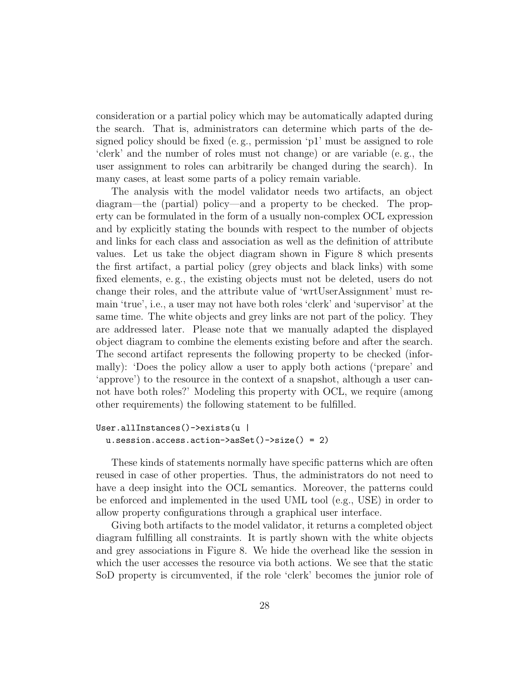consideration or a partial policy which may be automatically adapted during the search. That is, administrators can determine which parts of the designed policy should be fixed (e. g., permission 'p1' must be assigned to role 'clerk' and the number of roles must not change) or are variable (e. g., the user assignment to roles can arbitrarily be changed during the search). In many cases, at least some parts of a policy remain variable.

The analysis with the model validator needs two artifacts, an object diagram—the (partial) policy—and a property to be checked. The property can be formulated in the form of a usually non-complex OCL expression and by explicitly stating the bounds with respect to the number of objects and links for each class and association as well as the definition of attribute values. Let us take the object diagram shown in Figure 8 which presents the first artifact, a partial policy (grey objects and black links) with some fixed elements, e. g., the existing objects must not be deleted, users do not change their roles, and the attribute value of 'wrtUserAssignment' must remain 'true', i.e., a user may not have both roles 'clerk' and 'supervisor' at the same time. The white objects and grey links are not part of the policy. They are addressed later. Please note that we manually adapted the displayed object diagram to combine the elements existing before and after the search. The second artifact represents the following property to be checked (informally): 'Does the policy allow a user to apply both actions ('prepare' and 'approve') to the resource in the context of a snapshot, although a user cannot have both roles?' Modeling this property with OCL, we require (among other requirements) the following statement to be fulfilled.

```
User.allInstances()->exists(u |
  u.session.access.action->asSet()->size() = 2)
```
These kinds of statements normally have specific patterns which are often reused in case of other properties. Thus, the administrators do not need to have a deep insight into the OCL semantics. Moreover, the patterns could be enforced and implemented in the used UML tool (e.g., USE) in order to allow property configurations through a graphical user interface.

Giving both artifacts to the model validator, it returns a completed object diagram fulfilling all constraints. It is partly shown with the white objects and grey associations in Figure 8. We hide the overhead like the session in which the user accesses the resource via both actions. We see that the static SoD property is circumvented, if the role 'clerk' becomes the junior role of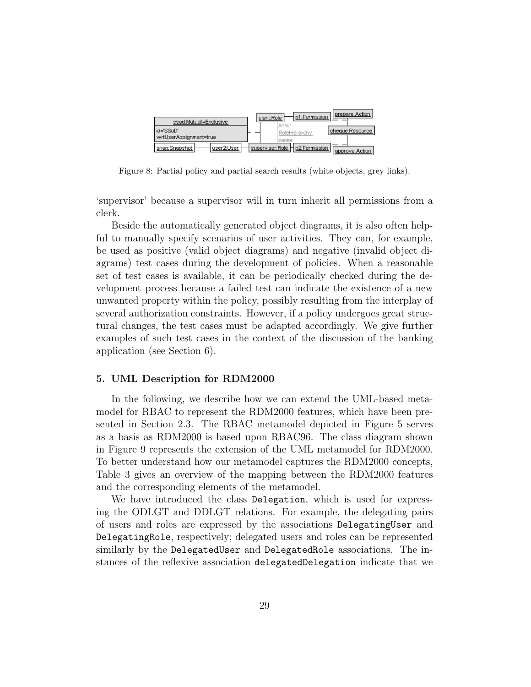| ssod:MutuallyExclusive              | clerk:Role<br>junior            | prepare: Action<br>p1:Permission |
|-------------------------------------|---------------------------------|----------------------------------|
| id='SSoD'<br>wrtUserAssignment=true | RoleHierarchy<br><b>senior</b>  | cheque:Resource                  |
| user2:User,<br>snap:Snapshot        | supervisor:Role H p2:Permission | approve: Action                  |

Figure 8: Partial policy and partial search results (white objects, grey links).

'supervisor' because a supervisor will in turn inherit all permissions from a clerk.

Beside the automatically generated object diagrams, it is also often helpful to manually specify scenarios of user activities. They can, for example, be used as positive (valid object diagrams) and negative (invalid object diagrams) test cases during the development of policies. When a reasonable set of test cases is available, it can be periodically checked during the development process because a failed test can indicate the existence of a new unwanted property within the policy, possibly resulting from the interplay of several authorization constraints. However, if a policy undergoes great structural changes, the test cases must be adapted accordingly. We give further examples of such test cases in the context of the discussion of the banking application (see Section 6).

## 5. UML Description for RDM2000

In the following, we describe how we can extend the UML-based metamodel for RBAC to represent the RDM2000 features, which have been presented in Section 2.3. The RBAC metamodel depicted in Figure 5 serves as a basis as RDM2000 is based upon RBAC96. The class diagram shown in Figure 9 represents the extension of the UML metamodel for RDM2000. To better understand how our metamodel captures the RDM2000 concepts, Table 3 gives an overview of the mapping between the RDM2000 features and the corresponding elements of the metamodel.

We have introduced the class Delegation, which is used for expressing the ODLGT and DDLGT relations. For example, the delegating pairs of users and roles are expressed by the associations DelegatingUser and DelegatingRole, respectively; delegated users and roles can be represented similarly by the DelegatedUser and DelegatedRole associations. The instances of the reflexive association delegatedDelegation indicate that we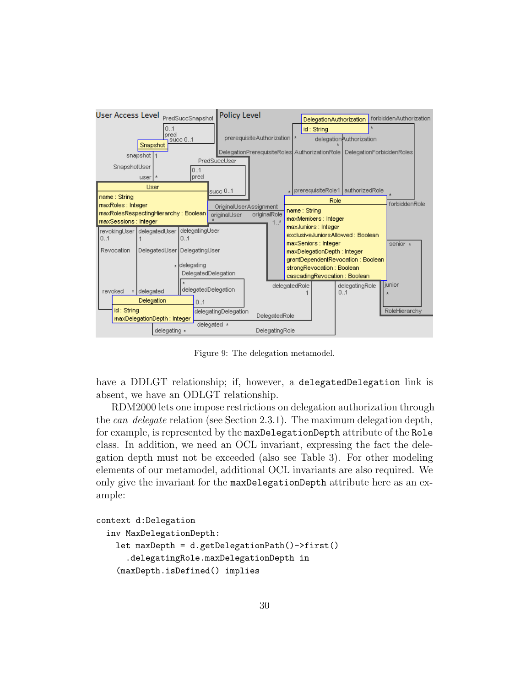

Figure 9: The delegation metamodel.

have a DDLGT relationship; if, however, a delegatedDelegation link is absent, we have an ODLGT relationship.

RDM2000 lets one impose restrictions on delegation authorization through the can delegate relation (see Section 2.3.1). The maximum delegation depth, for example, is represented by the maxDelegationDepth attribute of the Role class. In addition, we need an OCL invariant, expressing the fact the delegation depth must not be exceeded (also see Table 3). For other modeling elements of our metamodel, additional OCL invariants are also required. We only give the invariant for the maxDelegationDepth attribute here as an example:

```
context d:Delegation
  inv MaxDelegationDepth:
    let maxDepth = d.getDelegationPath()->first()
      .delegatingRole.maxDelegationDepth in
    (maxDepth.isDefined() implies
```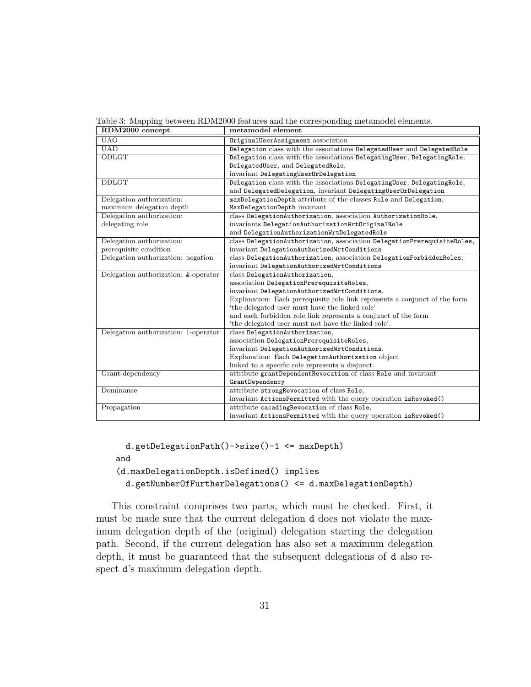Table 3: Mapping between RDM2000 features and the corresponding metamodel elements.

| RDM2000 concept                      | metamodel element                                                          |  |
|--------------------------------------|----------------------------------------------------------------------------|--|
| <b>UAO</b>                           | OriginalUserAssignment association                                         |  |
| <b>UAD</b>                           | Delegation class with the associations DelegatedUser and DelegatedRole     |  |
| <b>ODLGT</b>                         | Delegation class with the associations DelegatingUser, DelegatingRole,     |  |
|                                      | DelegatedUser, and DelegatedRole,                                          |  |
|                                      | invariant DelegatingUserOrDelegation                                       |  |
| <b>DDLGT</b>                         | Delegation class with the associations DelegatingUser, DelegatingRole,     |  |
|                                      | and DelegatedDelegation, invariant DelegatingUserOrDelegation              |  |
| Delegation authorization:            | maxDelegationDepth attribute of the classes Role and Delegation,           |  |
| maximum delegation depth             | MaxDelegationDepth invariant                                               |  |
| Delegation authorization:            | class DelegationAuthorization, association AuthorizationRole,              |  |
| delegating role                      | invariants DelegationAuthorizationWrtOriginalRole                          |  |
|                                      | and DelegationAuthorizationWrtDelegatedRole                                |  |
| Delegation authorization:            | class DelegationAuthorization, association DelegationPrerequisiteRoles,    |  |
| prerequisite condition               | invariant DelegationAuthorizedWrtConditions                                |  |
| Delegation authorization: negation   | class DelegationAuthorization, association DelegationForbiddenRoles,       |  |
|                                      | invariant DelegationAuthorizedWrtConditions                                |  |
| Delegation authorization: &-operator | class DelegationAuthorization,                                             |  |
|                                      | association DelegationPrerequisiteRoles,                                   |  |
|                                      | invariant DelegationAuthorizedWrtConditions.                               |  |
|                                      | Explanation: Each prerequisite role link represents a conjunct of the form |  |
|                                      | 'the delegated user must have the linked role'                             |  |
|                                      | and each forbidden role link represents a conjunct of the form             |  |
|                                      | 'the delegated user must not have the linked role'.                        |  |
| Delegation authorization:  -operator | class DelegationAuthorization,                                             |  |
|                                      | association DelegationPrerequisiteRoles,                                   |  |
|                                      | invariant DelegationAuthorizedWrtConditions.                               |  |
|                                      | Explanation: Each DelegationAuthorization object                           |  |
|                                      | linked to a specific role represents a disjunct.                           |  |
| Grant-dependency                     | attribute grantDependentRevocation of class Role and invariant             |  |
|                                      | GrantDependency                                                            |  |
| Dominance                            | attribute strongRevocation of class Role,                                  |  |
|                                      | invariant ActionsPermitted with the query operation isRevoked()            |  |
| Propagation                          | attribute cacadingRevocation of class Role,                                |  |
|                                      | invariant ActionsPermitted with the query operation isRevoked()            |  |

```
d.getDelegationPath()->size()-1 <= maxDepth)
and
```

```
(d.maxDelegationDepth.isDefined() implies
 d.getNumberOfFurtherDelegations() <= d.maxDelegationDepth)
```
This constraint comprises two parts, which must be checked. First, it must be made sure that the current delegation d does not violate the maximum delegation depth of the (original) delegation starting the delegation path. Second, if the current delegation has also set a maximum delegation depth, it must be guaranteed that the subsequent delegations of d also respect d's maximum delegation depth.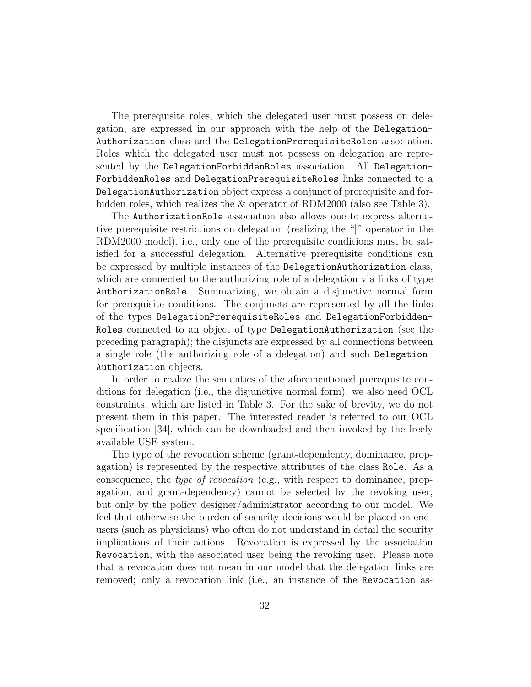The prerequisite roles, which the delegated user must possess on delegation, are expressed in our approach with the help of the Delegation-Authorization class and the DelegationPrerequisiteRoles association. Roles which the delegated user must not possess on delegation are represented by the DelegationForbiddenRoles association. All Delegation-ForbiddenRoles and DelegationPrerequisiteRoles links connected to a DelegationAuthorization object express a conjunct of prerequisite and forbidden roles, which realizes the & operator of RDM2000 (also see Table 3).

The AuthorizationRole association also allows one to express alternative prerequisite restrictions on delegation (realizing the "|" operator in the RDM2000 model), i.e., only one of the prerequisite conditions must be satisfied for a successful delegation. Alternative prerequisite conditions can be expressed by multiple instances of the DelegationAuthorization class, which are connected to the authorizing role of a delegation via links of type AuthorizationRole. Summarizing, we obtain a disjunctive normal form for prerequisite conditions. The conjuncts are represented by all the links of the types DelegationPrerequisiteRoles and DelegationForbidden-Roles connected to an object of type DelegationAuthorization (see the preceding paragraph); the disjuncts are expressed by all connections between a single role (the authorizing role of a delegation) and such Delegation-Authorization objects.

In order to realize the semantics of the aforementioned prerequisite conditions for delegation (i.e., the disjunctive normal form), we also need OCL constraints, which are listed in Table 3. For the sake of brevity, we do not present them in this paper. The interested reader is referred to our OCL specification [34], which can be downloaded and then invoked by the freely available USE system.

The type of the revocation scheme (grant-dependency, dominance, propagation) is represented by the respective attributes of the class Role. As a consequence, the type of revocation (e.g., with respect to dominance, propagation, and grant-dependency) cannot be selected by the revoking user, but only by the policy designer/administrator according to our model. We feel that otherwise the burden of security decisions would be placed on endusers (such as physicians) who often do not understand in detail the security implications of their actions. Revocation is expressed by the association Revocation, with the associated user being the revoking user. Please note that a revocation does not mean in our model that the delegation links are removed; only a revocation link (i.e., an instance of the Revocation as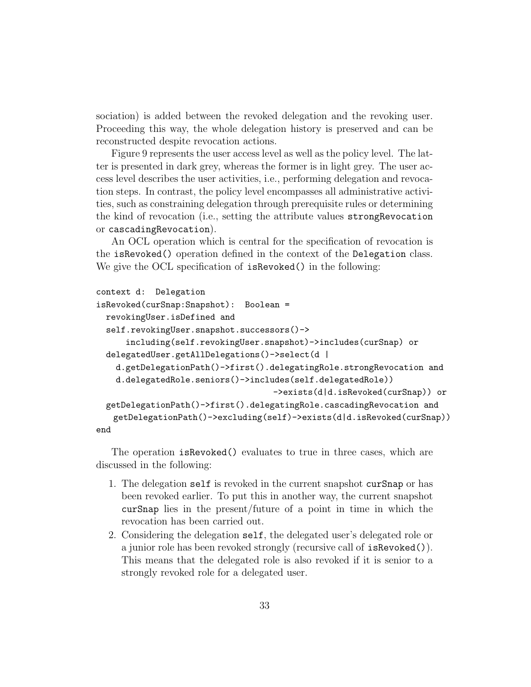sociation) is added between the revoked delegation and the revoking user. Proceeding this way, the whole delegation history is preserved and can be reconstructed despite revocation actions.

Figure 9 represents the user access level as well as the policy level. The latter is presented in dark grey, whereas the former is in light grey. The user access level describes the user activities, i.e., performing delegation and revocation steps. In contrast, the policy level encompasses all administrative activities, such as constraining delegation through prerequisite rules or determining the kind of revocation (i.e., setting the attribute values strongRevocation or cascadingRevocation).

An OCL operation which is central for the specification of revocation is the isRevoked() operation defined in the context of the Delegation class. We give the OCL specification of  $isRevoked()$  in the following:

```
context d: Delegation
isRevoked(curSnap:Snapshot): Boolean =
 revokingUser.isDefined and
  self.revokingUser.snapshot.successors()->
      including(self.revokingUser.snapshot)->includes(curSnap) or
 delegatedUser.getAllDelegations()->select(d |
   d.getDelegationPath()->first().delegatingRole.strongRevocation and
   d.delegatedRole.seniors()->includes(self.delegatedRole))
                                    ->exists(d|d.isRevoked(curSnap)) or
  getDelegationPath()->first().delegatingRole.cascadingRevocation and
   getDelegationPath()->excluding(self)->exists(d|d.isRevoked(curSnap))
end
```
The operation isRevoked() evaluates to true in three cases, which are discussed in the following:

- 1. The delegation self is revoked in the current snapshot curSnap or has been revoked earlier. To put this in another way, the current snapshot curSnap lies in the present/future of a point in time in which the revocation has been carried out.
- 2. Considering the delegation self, the delegated user's delegated role or a junior role has been revoked strongly (recursive call of isRevoked()). This means that the delegated role is also revoked if it is senior to a strongly revoked role for a delegated user.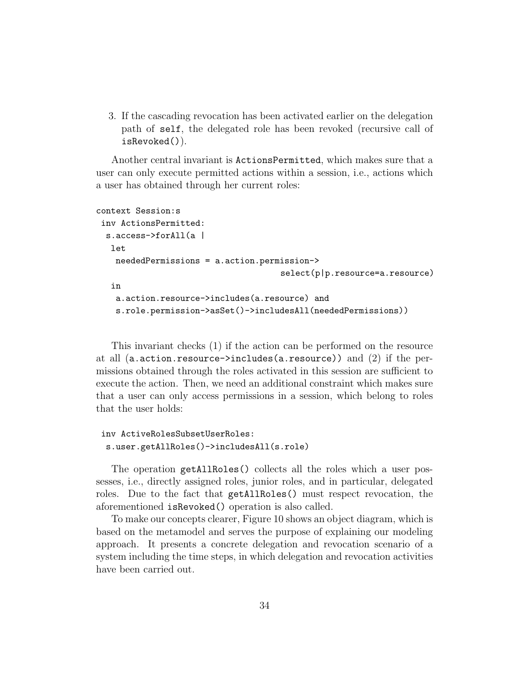3. If the cascading revocation has been activated earlier on the delegation path of self, the delegated role has been revoked (recursive call of isRevoked()).

Another central invariant is ActionsPermitted, which makes sure that a user can only execute permitted actions within a session, i.e., actions which a user has obtained through her current roles:

```
context Session:s
 inv ActionsPermitted:
  s.access->forAll(a |
  let
    neededPermissions = a.action.permission->
                                      select(p|p.resource=a.resource)
   in
    a.action.resource->includes(a.resource) and
    s.role.permission->asSet()->includesAll(neededPermissions))
```
This invariant checks (1) if the action can be performed on the resource at all (a.action.resource->includes(a.resource)) and (2) if the permissions obtained through the roles activated in this session are sufficient to execute the action. Then, we need an additional constraint which makes sure that a user can only access permissions in a session, which belong to roles that the user holds:

```
inv ActiveRolesSubsetUserRoles:
s.user.getAllRoles()->includesAll(s.role)
```
The operation getAllRoles() collects all the roles which a user possesses, i.e., directly assigned roles, junior roles, and in particular, delegated roles. Due to the fact that getAllRoles() must respect revocation, the aforementioned isRevoked() operation is also called.

To make our concepts clearer, Figure 10 shows an object diagram, which is based on the metamodel and serves the purpose of explaining our modeling approach. It presents a concrete delegation and revocation scenario of a system including the time steps, in which delegation and revocation activities have been carried out.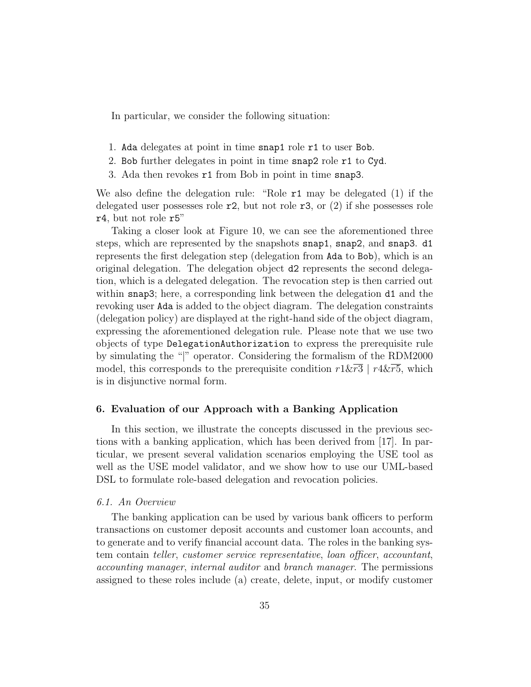In particular, we consider the following situation:

- 1. Ada delegates at point in time snap1 role r1 to user Bob.
- 2. Bob further delegates in point in time snap2 role r1 to Cyd.
- 3. Ada then revokes r1 from Bob in point in time snap3.

We also define the delegation rule: "Role  $r1$  may be delegated (1) if the delegated user possesses role  $r2$ , but not role  $r3$ , or  $(2)$  if she possesses role r4, but not role r5"

Taking a closer look at Figure 10, we can see the aforementioned three steps, which are represented by the snapshots snap1, snap2, and snap3. d1 represents the first delegation step (delegation from Ada to Bob), which is an original delegation. The delegation object d2 represents the second delegation, which is a delegated delegation. The revocation step is then carried out within snap3; here, a corresponding link between the delegation d1 and the revoking user Ada is added to the object diagram. The delegation constraints (delegation policy) are displayed at the right-hand side of the object diagram, expressing the aforementioned delegation rule. Please note that we use two objects of type DelegationAuthorization to express the prerequisite rule by simulating the "|" operator. Considering the formalism of the RDM2000 model, this corresponds to the prerequisite condition  $r1\&r3$  |  $r4\&r5$ , which is in disjunctive normal form.

#### 6. Evaluation of our Approach with a Banking Application

In this section, we illustrate the concepts discussed in the previous sections with a banking application, which has been derived from [17]. In particular, we present several validation scenarios employing the USE tool as well as the USE model validator, and we show how to use our UML-based DSL to formulate role-based delegation and revocation policies.

## 6.1. An Overview

The banking application can be used by various bank officers to perform transactions on customer deposit accounts and customer loan accounts, and to generate and to verify financial account data. The roles in the banking system contain teller, customer service representative, loan officer, accountant, accounting manager, internal auditor and branch manager. The permissions assigned to these roles include (a) create, delete, input, or modify customer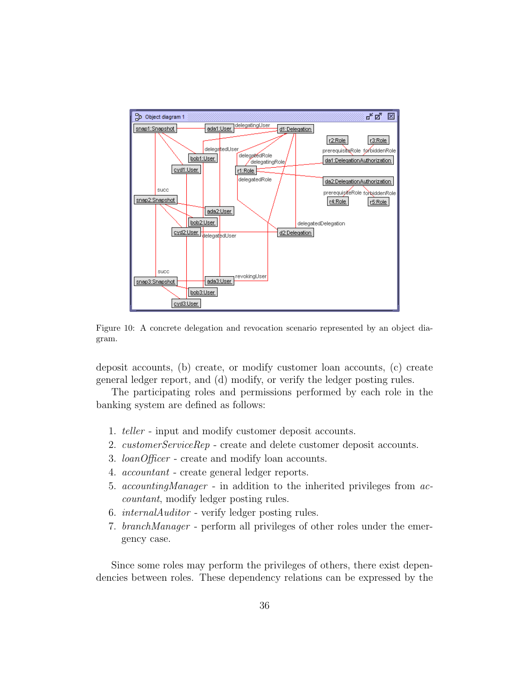

Figure 10: A concrete delegation and revocation scenario represented by an object diagram.

deposit accounts, (b) create, or modify customer loan accounts, (c) create general ledger report, and (d) modify, or verify the ledger posting rules.

The participating roles and permissions performed by each role in the banking system are defined as follows:

- 1. teller input and modify customer deposit accounts.
- 2. customerServiceRep create and delete customer deposit accounts.
- 3. loanOfficer create and modify loan accounts.
- 4. accountant create general ledger reports.
- 5. accountingManager in addition to the inherited privileges from accountant, modify ledger posting rules.
- 6. internalAuditor verify ledger posting rules.
- 7. branchManager perform all privileges of other roles under the emergency case.

Since some roles may perform the privileges of others, there exist dependencies between roles. These dependency relations can be expressed by the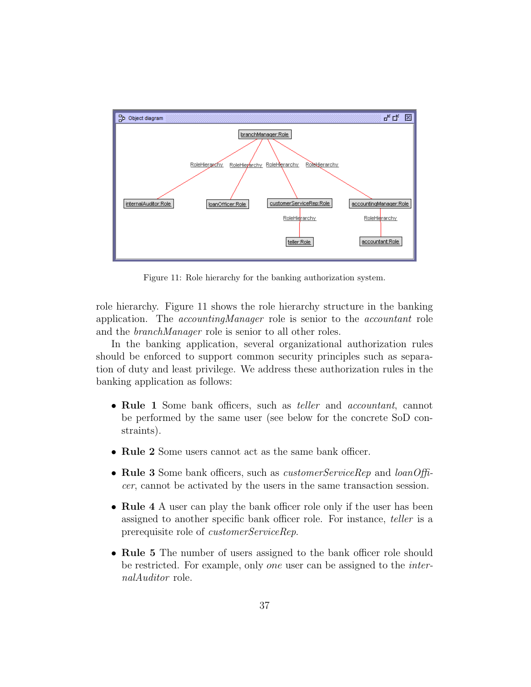

Figure 11: Role hierarchy for the banking authorization system.

role hierarchy. Figure 11 shows the role hierarchy structure in the banking application. The accountingManager role is senior to the accountant role and the branchManager role is senior to all other roles.

In the banking application, several organizational authorization rules should be enforced to support common security principles such as separation of duty and least privilege. We address these authorization rules in the banking application as follows:

- Rule 1 Some bank officers, such as *teller* and *accountant*, cannot be performed by the same user (see below for the concrete SoD constraints).
- Rule 2 Some users cannot act as the same bank officer.
- Rule 3 Some bank officers, such as *customerServiceRep* and  $\text{loanOffi-}$ cer, cannot be activated by the users in the same transaction session.
- Rule 4 A user can play the bank officer role only if the user has been assigned to another specific bank officer role. For instance, teller is a prerequisite role of customerServiceRep.
- Rule 5 The number of users assigned to the bank officer role should be restricted. For example, only one user can be assigned to the internalAuditor role.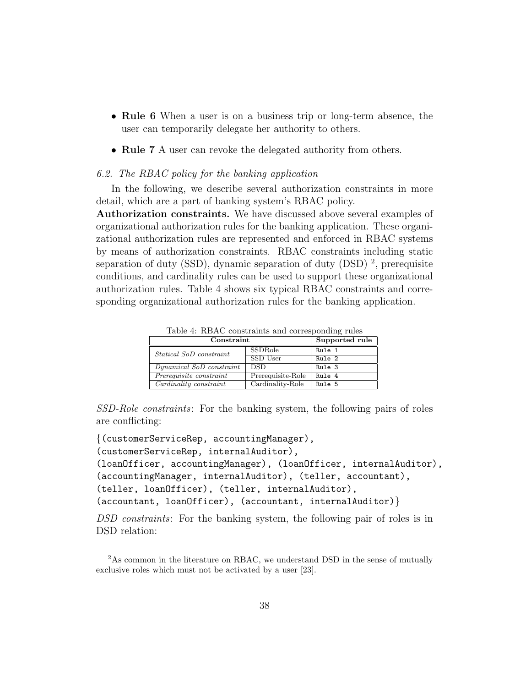- Rule 6 When a user is on a business trip or long-term absence, the user can temporarily delegate her authority to others.
- Rule 7 A user can revoke the delegated authority from others.

## 6.2. The RBAC policy for the banking application

In the following, we describe several authorization constraints in more detail, which are a part of banking system's RBAC policy.

Authorization constraints. We have discussed above several examples of organizational authorization rules for the banking application. These organizational authorization rules are represented and enforced in RBAC systems by means of authorization constraints. RBAC constraints including static separation of duty (SSD), dynamic separation of duty (DSD)<sup>2</sup>, prerequisite conditions, and cardinality rules can be used to support these organizational authorization rules. Table 4 shows six typical RBAC constraints and corresponding organizational authorization rules for the banking application.

| Constraint                     |                   | Supported rule |
|--------------------------------|-------------------|----------------|
| <i>Statical SoD constraint</i> | <b>SSDRole</b>    | Rule 1         |
|                                | SSD User          | Rule 2         |
| Dynamical SoD constraint       | DSD.              | Rule 3         |
| Prerequisite constraint        | Prerequisite-Role | Rule 4         |
| Cardinality constraint         | Cardinality-Role  | Rule 5         |

Table 4: RBAC constraints and corresponding rules

SSD-Role constraints: For the banking system, the following pairs of roles are conflicting:

```
{(customerServiceRep, accountingManager),
(customerServiceRep, internalAuditor),
(loanOfficer, accountingManager), (loanOfficer, internalAuditor),
(accountingManager, internalAuditor), (teller, accountant),
(teller, loanOfficer), (teller, internalAuditor),
(accountant, loanOfficer), (accountant, internalAuditor)}
```
DSD constraints: For the banking system, the following pair of roles is in DSD relation:

<sup>&</sup>lt;sup>2</sup>As common in the literature on RBAC, we understand DSD in the sense of mutually exclusive roles which must not be activated by a user [23].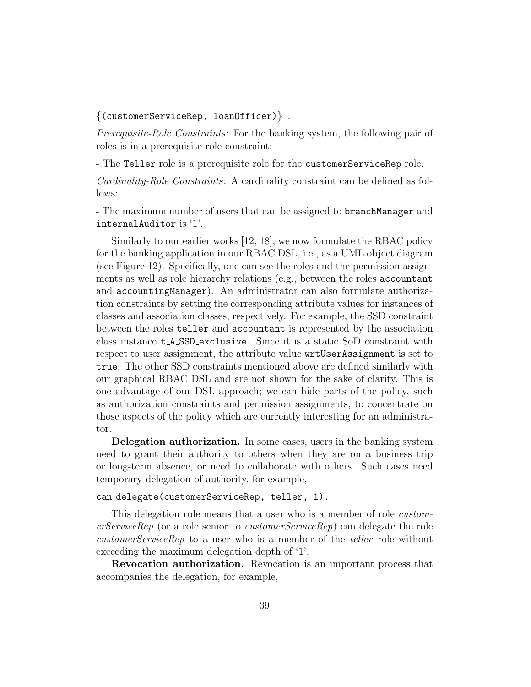# {(customerServiceRep, loanOfficer)} .

Prerequisite-Role Constraints: For the banking system, the following pair of roles is in a prerequisite role constraint:

- The Teller role is a prerequisite role for the customerServiceRep role.

Cardinality-Role Constraints: A cardinality constraint can be defined as follows:

- The maximum number of users that can be assigned to branchManager and internalAuditor is '1'.

Similarly to our earlier works [12, 18], we now formulate the RBAC policy for the banking application in our RBAC DSL, i.e., as a UML object diagram (see Figure 12). Specifically, one can see the roles and the permission assignments as well as role hierarchy relations (e.g., between the roles accountant and accountingManager). An administrator can also formulate authorization constraints by setting the corresponding attribute values for instances of classes and association classes, respectively. For example, the SSD constraint between the roles teller and accountant is represented by the association class instance t A SSD exclusive. Since it is a static SoD constraint with respect to user assignment, the attribute value wrtUserAssignment is set to true. The other SSD constraints mentioned above are defined similarly with our graphical RBAC DSL and are not shown for the sake of clarity. This is one advantage of our DSL approach; we can hide parts of the policy, such as authorization constraints and permission assignments, to concentrate on those aspects of the policy which are currently interesting for an administrator.

Delegation authorization. In some cases, users in the banking system need to grant their authority to others when they are on a business trip or long-term absence, or need to collaborate with others. Such cases need temporary delegation of authority, for example,

## can delegate(customerServiceRep, teller, 1).

This delegation rule means that a user who is a member of role custom $erServiceRep$  (or a role senior to *customerServiceRep*) can delegate the role customerServiceRep to a user who is a member of the teller role without exceeding the maximum delegation depth of '1'.

Revocation authorization. Revocation is an important process that accompanies the delegation, for example,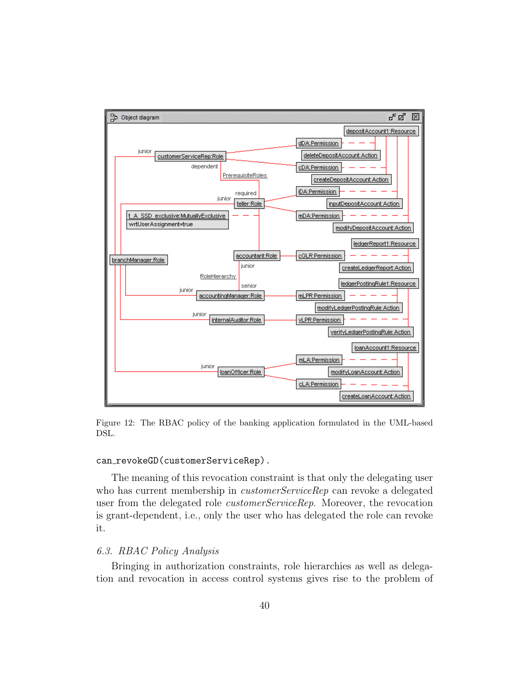

Figure 12: The RBAC policy of the banking application formulated in the UML-based DSL.

## can revokeGD(customerServiceRep).

The meaning of this revocation constraint is that only the delegating user who has current membership in *customerServiceRep* can revoke a delegated user from the delegated role *customerServiceRep*. Moreover, the revocation is grant-dependent, i.e., only the user who has delegated the role can revoke it.

## 6.3. RBAC Policy Analysis

Bringing in authorization constraints, role hierarchies as well as delegation and revocation in access control systems gives rise to the problem of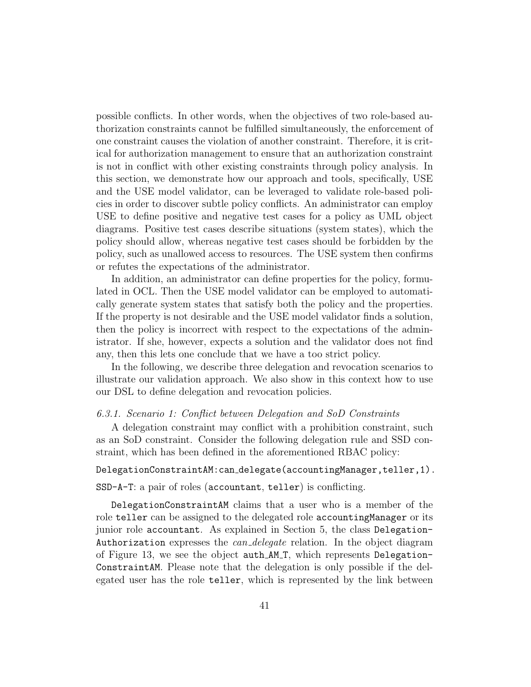possible conflicts. In other words, when the objectives of two role-based authorization constraints cannot be fulfilled simultaneously, the enforcement of one constraint causes the violation of another constraint. Therefore, it is critical for authorization management to ensure that an authorization constraint is not in conflict with other existing constraints through policy analysis. In this section, we demonstrate how our approach and tools, specifically, USE and the USE model validator, can be leveraged to validate role-based policies in order to discover subtle policy conflicts. An administrator can employ USE to define positive and negative test cases for a policy as UML object diagrams. Positive test cases describe situations (system states), which the policy should allow, whereas negative test cases should be forbidden by the policy, such as unallowed access to resources. The USE system then confirms or refutes the expectations of the administrator.

In addition, an administrator can define properties for the policy, formulated in OCL. Then the USE model validator can be employed to automatically generate system states that satisfy both the policy and the properties. If the property is not desirable and the USE model validator finds a solution, then the policy is incorrect with respect to the expectations of the administrator. If she, however, expects a solution and the validator does not find any, then this lets one conclude that we have a too strict policy.

In the following, we describe three delegation and revocation scenarios to illustrate our validation approach. We also show in this context how to use our DSL to define delegation and revocation policies.

## 6.3.1. Scenario 1: Conflict between Delegation and SoD Constraints

A delegation constraint may conflict with a prohibition constraint, such as an SoD constraint. Consider the following delegation rule and SSD constraint, which has been defined in the aforementioned RBAC policy:

## DelegationConstraintAM:can delegate(accountingManager,teller,1).

SSD-A-T: a pair of roles (accountant, teller) is conflicting.

DelegationConstraintAM claims that a user who is a member of the role teller can be assigned to the delegated role accountingManager or its junior role accountant. As explained in Section 5, the class Delegation-Authorization expresses the *can delegate* relation. In the object diagram of Figure 13, we see the object auth AM T, which represents Delegation-ConstraintAM. Please note that the delegation is only possible if the delegated user has the role teller, which is represented by the link between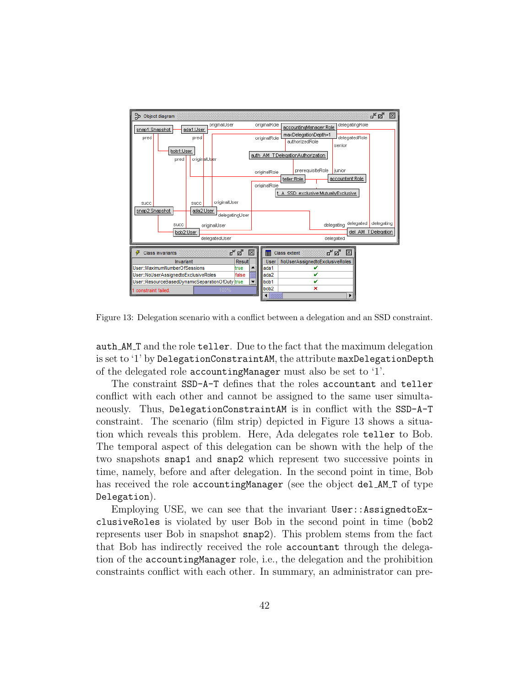

Figure 13: Delegation scenario with a conflict between a delegation and an SSD constraint.

auth AM T and the role teller. Due to the fact that the maximum delegation is set to '1' by DelegationConstraintAM, the attribute maxDelegationDepth of the delegated role accountingManager must also be set to '1'.

The constraint SSD-A-T defines that the roles accountant and teller conflict with each other and cannot be assigned to the same user simultaneously. Thus, DelegationConstraintAM is in conflict with the SSD-A-T constraint. The scenario (film strip) depicted in Figure 13 shows a situation which reveals this problem. Here, Ada delegates role teller to Bob. The temporal aspect of this delegation can be shown with the help of the two snapshots snap1 and snap2 which represent two successive points in time, namely, before and after delegation. In the second point in time, Bob has received the role accounting Manager (see the object del AM T of type Delegation).

Employing USE, we can see that the invariant User::AssignedtoExclusiveRoles is violated by user Bob in the second point in time (bob2 represents user Bob in snapshot snap2). This problem stems from the fact that Bob has indirectly received the role accountant through the delegation of the accountingManager role, i.e., the delegation and the prohibition constraints conflict with each other. In summary, an administrator can pre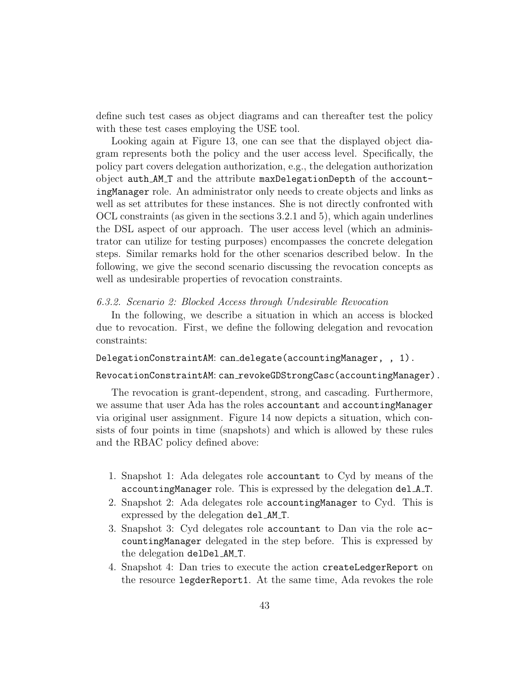define such test cases as object diagrams and can thereafter test the policy with these test cases employing the USE tool.

Looking again at Figure 13, one can see that the displayed object diagram represents both the policy and the user access level. Specifically, the policy part covers delegation authorization, e.g., the delegation authorization object auth AM T and the attribute maxDelegationDepth of the accountingManager role. An administrator only needs to create objects and links as well as set attributes for these instances. She is not directly confronted with OCL constraints (as given in the sections 3.2.1 and 5), which again underlines the DSL aspect of our approach. The user access level (which an administrator can utilize for testing purposes) encompasses the concrete delegation steps. Similar remarks hold for the other scenarios described below. In the following, we give the second scenario discussing the revocation concepts as well as undesirable properties of revocation constraints.

#### 6.3.2. Scenario 2: Blocked Access through Undesirable Revocation

In the following, we describe a situation in which an access is blocked due to revocation. First, we define the following delegation and revocation constraints:

## DelegationConstraintAM: can delegate(accountingManager, , 1).

## RevocationConstraintAM: can revokeGDStrongCasc(accountingManager).

The revocation is grant-dependent, strong, and cascading. Furthermore, we assume that user Ada has the roles accountant and accountingManager via original user assignment. Figure 14 now depicts a situation, which consists of four points in time (snapshots) and which is allowed by these rules and the RBAC policy defined above:

- 1. Snapshot 1: Ada delegates role accountant to Cyd by means of the accountingManager role. This is expressed by the delegation del A T.
- 2. Snapshot 2: Ada delegates role accountingManager to Cyd. This is expressed by the delegation del AM T.
- 3. Snapshot 3: Cyd delegates role accountant to Dan via the role accountingManager delegated in the step before. This is expressed by the delegation delDel AM T.
- 4. Snapshot 4: Dan tries to execute the action createLedgerReport on the resource legderReport1. At the same time, Ada revokes the role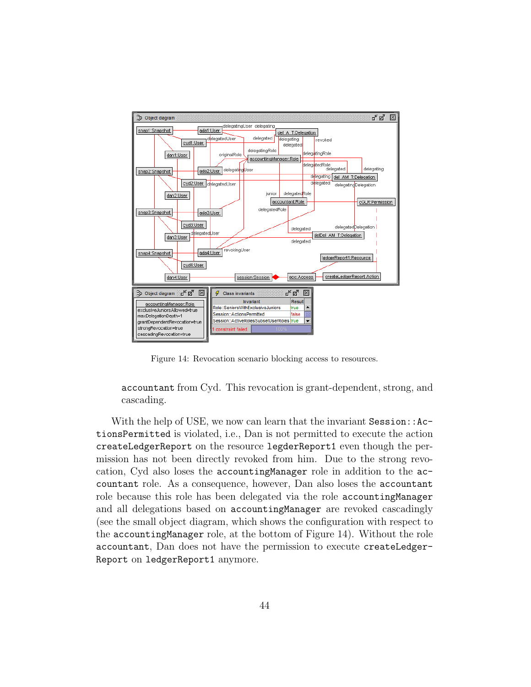

Figure 14: Revocation scenario blocking access to resources.

accountant from Cyd. This revocation is grant-dependent, strong, and cascading.

With the help of USE, we now can learn that the invariant Session: :ActionsPermitted is violated, i.e., Dan is not permitted to execute the action createLedgerReport on the resource legderReport1 even though the permission has not been directly revoked from him. Due to the strong revocation, Cyd also loses the accountingManager role in addition to the accountant role. As a consequence, however, Dan also loses the accountant role because this role has been delegated via the role accountingManager and all delegations based on accountingManager are revoked cascadingly (see the small object diagram, which shows the configuration with respect to the accountingManager role, at the bottom of Figure 14). Without the role accountant, Dan does not have the permission to execute createLedger-Report on ledgerReport1 anymore.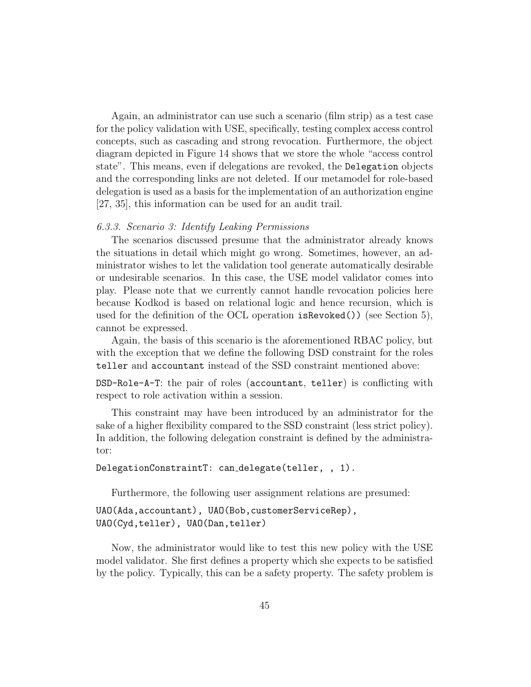Again, an administrator can use such a scenario (film strip) as a test case for the policy validation with USE, specifically, testing complex access control concepts, such as cascading and strong revocation. Furthermore, the object diagram depicted in Figure 14 shows that we store the whole "access control state". This means, even if delegations are revoked, the Delegation objects and the corresponding links are not deleted. If our metamodel for role-based delegation is used as a basis for the implementation of an authorization engine [27, 35], this information can be used for an audit trail.

## 6.3.3. Scenario 3: Identify Leaking Permissions

The scenarios discussed presume that the administrator already knows the situations in detail which might go wrong. Sometimes, however, an administrator wishes to let the validation tool generate automatically desirable or undesirable scenarios. In this case, the USE model validator comes into play. Please note that we currently cannot handle revocation policies here because Kodkod is based on relational logic and hence recursion, which is used for the definition of the OCL operation isRevoked()) (see Section 5), cannot be expressed.

Again, the basis of this scenario is the aforementioned RBAC policy, but with the exception that we define the following DSD constraint for the roles teller and accountant instead of the SSD constraint mentioned above:

DSD-Role-A-T: the pair of roles (accountant, teller) is conflicting with respect to role activation within a session.

This constraint may have been introduced by an administrator for the sake of a higher flexibility compared to the SSD constraint (less strict policy). In addition, the following delegation constraint is defined by the administrator:

```
DelegationConstraintT: can delegate(teller, , 1).
```
Furthermore, the following user assignment relations are presumed:

```
UAO(Ada,accountant), UAO(Bob,customerServiceRep),
UAO(Cyd,teller), UAO(Dan,teller)
```
Now, the administrator would like to test this new policy with the USE model validator. She first defines a property which she expects to be satisfied by the policy. Typically, this can be a safety property. The safety problem is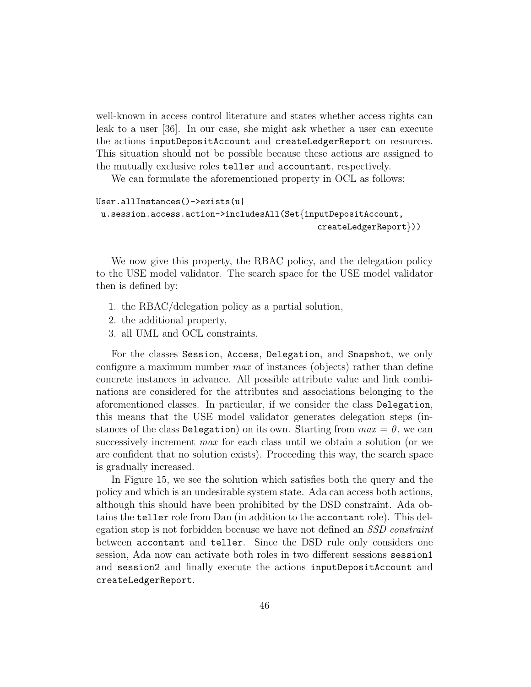well-known in access control literature and states whether access rights can leak to a user [36]. In our case, she might ask whether a user can execute the actions inputDepositAccount and createLedgerReport on resources. This situation should not be possible because these actions are assigned to the mutually exclusive roles teller and accountant, respectively.

We can formulate the aforementioned property in OCL as follows:

```
User.allInstances()->exists(u|
 u.session.access.action->includesAll(Set{inputDepositAccount,
                                             createLedgerReport}))
```
We now give this property, the RBAC policy, and the delegation policy to the USE model validator. The search space for the USE model validator then is defined by:

- 1. the RBAC/delegation policy as a partial solution,
- 2. the additional property,
- 3. all UML and OCL constraints.

For the classes Session, Access, Delegation, and Snapshot, we only configure a maximum number max of instances (objects) rather than define concrete instances in advance. All possible attribute value and link combinations are considered for the attributes and associations belonging to the aforementioned classes. In particular, if we consider the class Delegation, this means that the USE model validator generates delegation steps (instances of the class Delegation) on its own. Starting from  $max = 0$ , we can successively increment max for each class until we obtain a solution (or we are confident that no solution exists). Proceeding this way, the search space is gradually increased.

In Figure 15, we see the solution which satisfies both the query and the policy and which is an undesirable system state. Ada can access both actions, although this should have been prohibited by the DSD constraint. Ada obtains the teller role from Dan (in addition to the accontant role). This delegation step is not forbidden because we have not defined an SSD constraint between accontant and teller. Since the DSD rule only considers one session, Ada now can activate both roles in two different sessions session1 and session2 and finally execute the actions inputDepositAccount and createLedgerReport.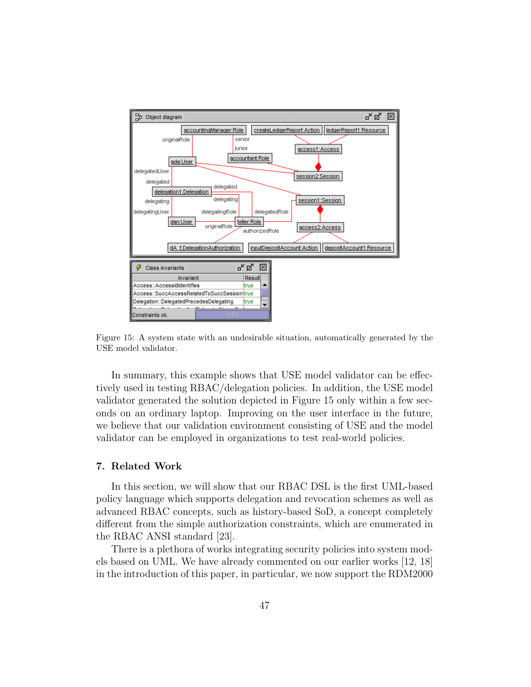

Figure 15: A system state with an undesirable situation, automatically generated by the USE model validator.

In summary, this example shows that USE model validator can be effectively used in testing RBAC/delegation policies. In addition, the USE model validator generated the solution depicted in Figure 15 only within a few seconds on an ordinary laptop. Improving on the user interface in the future, we believe that our validation environment consisting of USE and the model validator can be employed in organizations to test real-world policies.

## 7. Related Work

In this section, we will show that our RBAC DSL is the first UML-based policy language which supports delegation and revocation schemes as well as advanced RBAC concepts, such as history-based SoD, a concept completely different from the simple authorization constraints, which are enumerated in the RBAC ANSI standard [23].

There is a plethora of works integrating security policies into system models based on UML. We have already commented on our earlier works [12, 18] in the introduction of this paper, in particular, we now support the RDM2000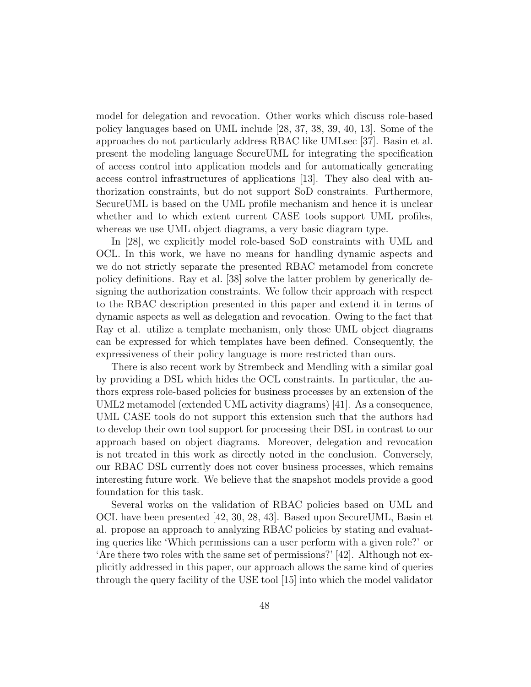model for delegation and revocation. Other works which discuss role-based policy languages based on UML include [28, 37, 38, 39, 40, 13]. Some of the approaches do not particularly address RBAC like UMLsec [37]. Basin et al. present the modeling language SecureUML for integrating the specification of access control into application models and for automatically generating access control infrastructures of applications [13]. They also deal with authorization constraints, but do not support SoD constraints. Furthermore, SecureUML is based on the UML profile mechanism and hence it is unclear whether and to which extent current CASE tools support UML profiles, whereas we use UML object diagrams, a very basic diagram type.

In [28], we explicitly model role-based SoD constraints with UML and OCL. In this work, we have no means for handling dynamic aspects and we do not strictly separate the presented RBAC metamodel from concrete policy definitions. Ray et al. [38] solve the latter problem by generically designing the authorization constraints. We follow their approach with respect to the RBAC description presented in this paper and extend it in terms of dynamic aspects as well as delegation and revocation. Owing to the fact that Ray et al. utilize a template mechanism, only those UML object diagrams can be expressed for which templates have been defined. Consequently, the expressiveness of their policy language is more restricted than ours.

There is also recent work by Strembeck and Mendling with a similar goal by providing a DSL which hides the OCL constraints. In particular, the authors express role-based policies for business processes by an extension of the UML2 metamodel (extended UML activity diagrams) [41]. As a consequence, UML CASE tools do not support this extension such that the authors had to develop their own tool support for processing their DSL in contrast to our approach based on object diagrams. Moreover, delegation and revocation is not treated in this work as directly noted in the conclusion. Conversely, our RBAC DSL currently does not cover business processes, which remains interesting future work. We believe that the snapshot models provide a good foundation for this task.

Several works on the validation of RBAC policies based on UML and OCL have been presented [42, 30, 28, 43]. Based upon SecureUML, Basin et al. propose an approach to analyzing RBAC policies by stating and evaluating queries like 'Which permissions can a user perform with a given role?' or 'Are there two roles with the same set of permissions?' [42]. Although not explicitly addressed in this paper, our approach allows the same kind of queries through the query facility of the USE tool [15] into which the model validator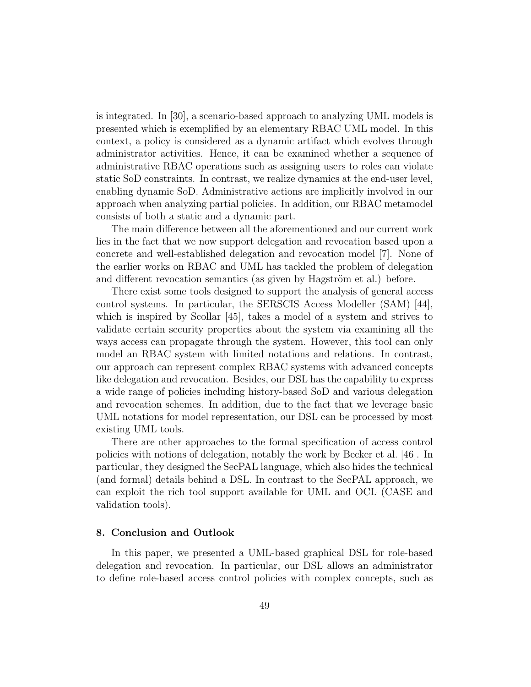is integrated. In [30], a scenario-based approach to analyzing UML models is presented which is exemplified by an elementary RBAC UML model. In this context, a policy is considered as a dynamic artifact which evolves through administrator activities. Hence, it can be examined whether a sequence of administrative RBAC operations such as assigning users to roles can violate static SoD constraints. In contrast, we realize dynamics at the end-user level, enabling dynamic SoD. Administrative actions are implicitly involved in our approach when analyzing partial policies. In addition, our RBAC metamodel consists of both a static and a dynamic part.

The main difference between all the aforementioned and our current work lies in the fact that we now support delegation and revocation based upon a concrete and well-established delegation and revocation model [7]. None of the earlier works on RBAC and UML has tackled the problem of delegation and different revocation semantics (as given by Hagström et al.) before.

There exist some tools designed to support the analysis of general access control systems. In particular, the SERSCIS Access Modeller (SAM) [44], which is inspired by Scollar [45], takes a model of a system and strives to validate certain security properties about the system via examining all the ways access can propagate through the system. However, this tool can only model an RBAC system with limited notations and relations. In contrast, our approach can represent complex RBAC systems with advanced concepts like delegation and revocation. Besides, our DSL has the capability to express a wide range of policies including history-based SoD and various delegation and revocation schemes. In addition, due to the fact that we leverage basic UML notations for model representation, our DSL can be processed by most existing UML tools.

There are other approaches to the formal specification of access control policies with notions of delegation, notably the work by Becker et al. [46]. In particular, they designed the SecPAL language, which also hides the technical (and formal) details behind a DSL. In contrast to the SecPAL approach, we can exploit the rich tool support available for UML and OCL (CASE and validation tools).

#### 8. Conclusion and Outlook

In this paper, we presented a UML-based graphical DSL for role-based delegation and revocation. In particular, our DSL allows an administrator to define role-based access control policies with complex concepts, such as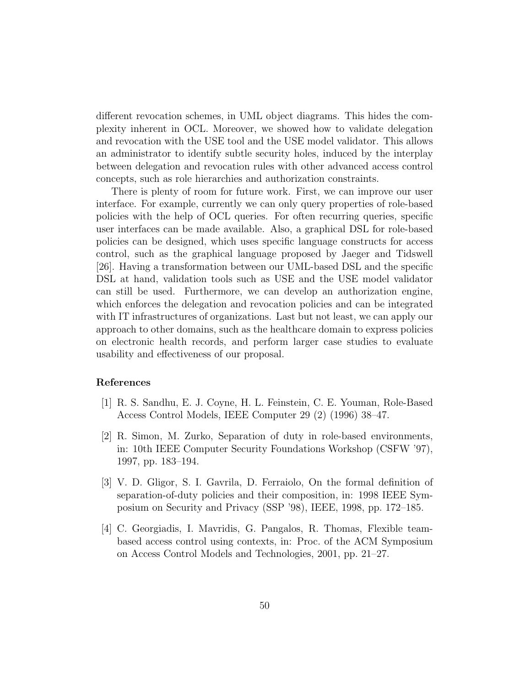different revocation schemes, in UML object diagrams. This hides the complexity inherent in OCL. Moreover, we showed how to validate delegation and revocation with the USE tool and the USE model validator. This allows an administrator to identify subtle security holes, induced by the interplay between delegation and revocation rules with other advanced access control concepts, such as role hierarchies and authorization constraints.

There is plenty of room for future work. First, we can improve our user interface. For example, currently we can only query properties of role-based policies with the help of OCL queries. For often recurring queries, specific user interfaces can be made available. Also, a graphical DSL for role-based policies can be designed, which uses specific language constructs for access control, such as the graphical language proposed by Jaeger and Tidswell [26]. Having a transformation between our UML-based DSL and the specific DSL at hand, validation tools such as USE and the USE model validator can still be used. Furthermore, we can develop an authorization engine, which enforces the delegation and revocation policies and can be integrated with IT infrastructures of organizations. Last but not least, we can apply our approach to other domains, such as the healthcare domain to express policies on electronic health records, and perform larger case studies to evaluate usability and effectiveness of our proposal.

#### References

- [1] R. S. Sandhu, E. J. Coyne, H. L. Feinstein, C. E. Youman, Role-Based Access Control Models, IEEE Computer 29 (2) (1996) 38–47.
- [2] R. Simon, M. Zurko, Separation of duty in role-based environments, in: 10th IEEE Computer Security Foundations Workshop (CSFW '97), 1997, pp. 183–194.
- [3] V. D. Gligor, S. I. Gavrila, D. Ferraiolo, On the formal definition of separation-of-duty policies and their composition, in: 1998 IEEE Symposium on Security and Privacy (SSP '98), IEEE, 1998, pp. 172–185.
- [4] C. Georgiadis, I. Mavridis, G. Pangalos, R. Thomas, Flexible teambased access control using contexts, in: Proc. of the ACM Symposium on Access Control Models and Technologies, 2001, pp. 21–27.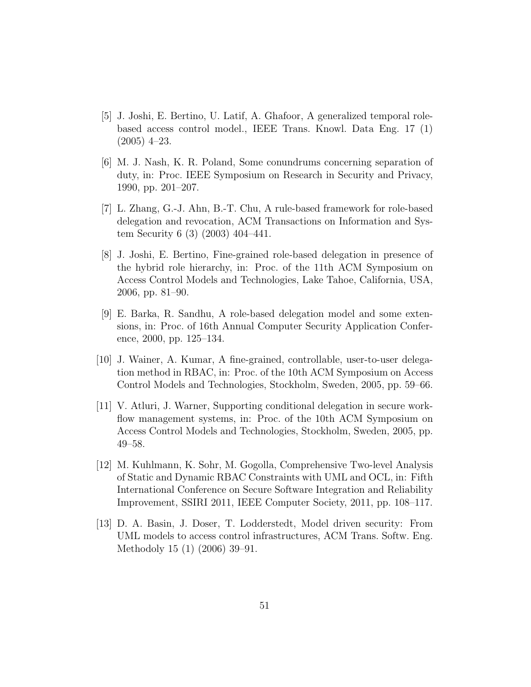- [5] J. Joshi, E. Bertino, U. Latif, A. Ghafoor, A generalized temporal rolebased access control model., IEEE Trans. Knowl. Data Eng. 17 (1) (2005) 4–23.
- [6] M. J. Nash, K. R. Poland, Some conundrums concerning separation of duty, in: Proc. IEEE Symposium on Research in Security and Privacy, 1990, pp. 201–207.
- [7] L. Zhang, G.-J. Ahn, B.-T. Chu, A rule-based framework for role-based delegation and revocation, ACM Transactions on Information and System Security 6 (3) (2003) 404–441.
- [8] J. Joshi, E. Bertino, Fine-grained role-based delegation in presence of the hybrid role hierarchy, in: Proc. of the 11th ACM Symposium on Access Control Models and Technologies, Lake Tahoe, California, USA, 2006, pp. 81–90.
- [9] E. Barka, R. Sandhu, A role-based delegation model and some extensions, in: Proc. of 16th Annual Computer Security Application Conference, 2000, pp. 125–134.
- [10] J. Wainer, A. Kumar, A fine-grained, controllable, user-to-user delegation method in RBAC, in: Proc. of the 10th ACM Symposium on Access Control Models and Technologies, Stockholm, Sweden, 2005, pp. 59–66.
- [11] V. Atluri, J. Warner, Supporting conditional delegation in secure workflow management systems, in: Proc. of the 10th ACM Symposium on Access Control Models and Technologies, Stockholm, Sweden, 2005, pp. 49–58.
- [12] M. Kuhlmann, K. Sohr, M. Gogolla, Comprehensive Two-level Analysis of Static and Dynamic RBAC Constraints with UML and OCL, in: Fifth International Conference on Secure Software Integration and Reliability Improvement, SSIRI 2011, IEEE Computer Society, 2011, pp. 108–117.
- [13] D. A. Basin, J. Doser, T. Lodderstedt, Model driven security: From UML models to access control infrastructures, ACM Trans. Softw. Eng. Methodoly 15 (1) (2006) 39–91.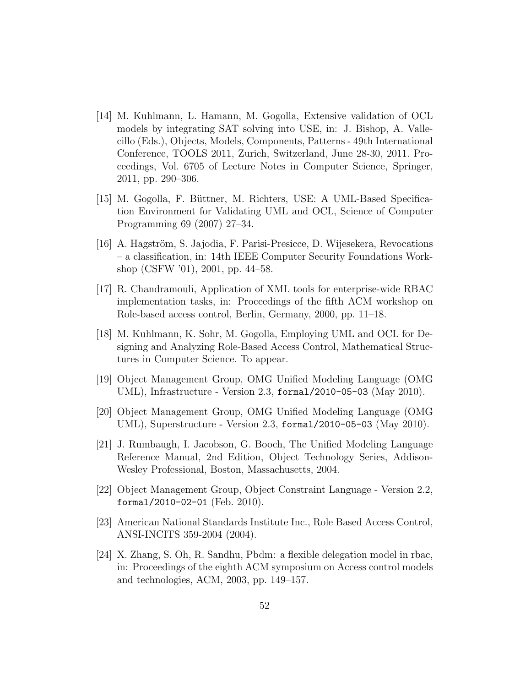- [14] M. Kuhlmann, L. Hamann, M. Gogolla, Extensive validation of OCL models by integrating SAT solving into USE, in: J. Bishop, A. Vallecillo (Eds.), Objects, Models, Components, Patterns - 49th International Conference, TOOLS 2011, Zurich, Switzerland, June 28-30, 2011. Proceedings, Vol. 6705 of Lecture Notes in Computer Science, Springer, 2011, pp. 290–306.
- [15] M. Gogolla, F. Büttner, M. Richters, USE: A UML-Based Specification Environment for Validating UML and OCL, Science of Computer Programming 69 (2007) 27–34.
- [16] A. Hagström, S. Jajodia, F. Parisi-Presicce, D. Wijesekera, Revocations – a classification, in: 14th IEEE Computer Security Foundations Workshop (CSFW '01), 2001, pp. 44–58.
- [17] R. Chandramouli, Application of XML tools for enterprise-wide RBAC implementation tasks, in: Proceedings of the fifth ACM workshop on Role-based access control, Berlin, Germany, 2000, pp. 11–18.
- [18] M. Kuhlmann, K. Sohr, M. Gogolla, Employing UML and OCL for Designing and Analyzing Role-Based Access Control, Mathematical Structures in Computer Science. To appear.
- [19] Object Management Group, OMG Unified Modeling Language (OMG UML), Infrastructure - Version 2.3, formal/2010-05-03 (May 2010).
- [20] Object Management Group, OMG Unified Modeling Language (OMG UML), Superstructure - Version 2.3, formal/2010-05-03 (May 2010).
- [21] J. Rumbaugh, I. Jacobson, G. Booch, The Unified Modeling Language Reference Manual, 2nd Edition, Object Technology Series, Addison-Wesley Professional, Boston, Massachusetts, 2004.
- [22] Object Management Group, Object Constraint Language Version 2.2, formal/2010-02-01 (Feb. 2010).
- [23] American National Standards Institute Inc., Role Based Access Control, ANSI-INCITS 359-2004 (2004).
- [24] X. Zhang, S. Oh, R. Sandhu, Pbdm: a flexible delegation model in rbac, in: Proceedings of the eighth ACM symposium on Access control models and technologies, ACM, 2003, pp. 149–157.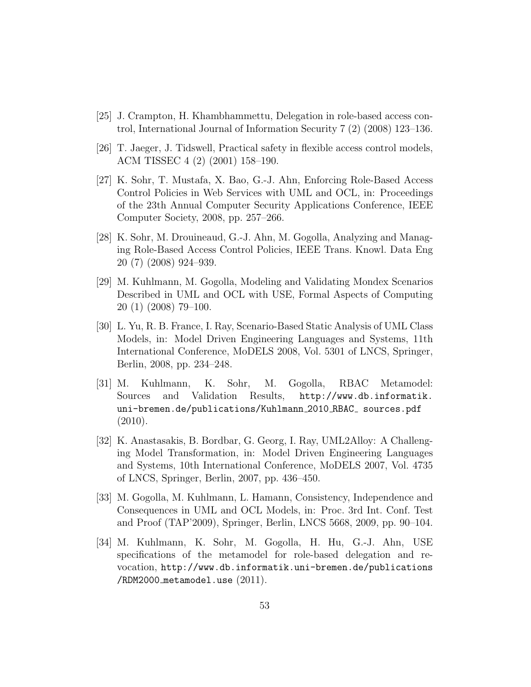- [25] J. Crampton, H. Khambhammettu, Delegation in role-based access control, International Journal of Information Security 7 (2) (2008) 123–136.
- [26] T. Jaeger, J. Tidswell, Practical safety in flexible access control models, ACM TISSEC 4 (2) (2001) 158–190.
- [27] K. Sohr, T. Mustafa, X. Bao, G.-J. Ahn, Enforcing Role-Based Access Control Policies in Web Services with UML and OCL, in: Proceedings of the 23th Annual Computer Security Applications Conference, IEEE Computer Society, 2008, pp. 257–266.
- [28] K. Sohr, M. Drouineaud, G.-J. Ahn, M. Gogolla, Analyzing and Managing Role-Based Access Control Policies, IEEE Trans. Knowl. Data Eng 20 (7) (2008) 924–939.
- [29] M. Kuhlmann, M. Gogolla, Modeling and Validating Mondex Scenarios Described in UML and OCL with USE, Formal Aspects of Computing 20 (1) (2008) 79–100.
- [30] L. Yu, R. B. France, I. Ray, Scenario-Based Static Analysis of UML Class Models, in: Model Driven Engineering Languages and Systems, 11th International Conference, MoDELS 2008, Vol. 5301 of LNCS, Springer, Berlin, 2008, pp. 234–248.
- [31] M. Kuhlmann, K. Sohr, M. Gogolla, RBAC Metamodel: Sources and Validation Results, http://www.db.informatik. uni-bremen.de/publications/Kuhlmann\_2010\_RBAC\_ sources.pdf  $(2010).$
- [32] K. Anastasakis, B. Bordbar, G. Georg, I. Ray, UML2Alloy: A Challenging Model Transformation, in: Model Driven Engineering Languages and Systems, 10th International Conference, MoDELS 2007, Vol. 4735 of LNCS, Springer, Berlin, 2007, pp. 436–450.
- [33] M. Gogolla, M. Kuhlmann, L. Hamann, Consistency, Independence and Consequences in UML and OCL Models, in: Proc. 3rd Int. Conf. Test and Proof (TAP'2009), Springer, Berlin, LNCS 5668, 2009, pp. 90–104.
- [34] M. Kuhlmann, K. Sohr, M. Gogolla, H. Hu, G.-J. Ahn, USE specifications of the metamodel for role-based delegation and revocation, http://www.db.informatik.uni-bremen.de/publications  $/$ RDM2000\_metamodel.use  $(2011)$ .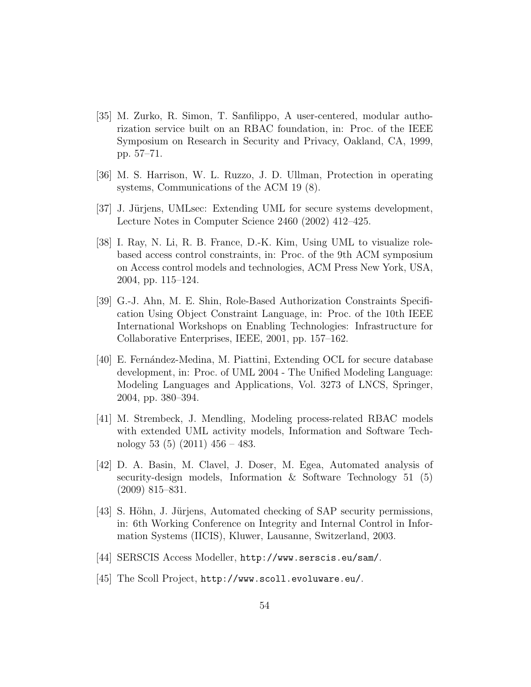- [35] M. Zurko, R. Simon, T. Sanfilippo, A user-centered, modular authorization service built on an RBAC foundation, in: Proc. of the IEEE Symposium on Research in Security and Privacy, Oakland, CA, 1999, pp. 57–71.
- [36] M. S. Harrison, W. L. Ruzzo, J. D. Ullman, Protection in operating systems, Communications of the ACM 19 (8).
- [37] J. Jürjens, UMLsec: Extending UML for secure systems development, Lecture Notes in Computer Science 2460 (2002) 412–425.
- [38] I. Ray, N. Li, R. B. France, D.-K. Kim, Using UML to visualize rolebased access control constraints, in: Proc. of the 9th ACM symposium on Access control models and technologies, ACM Press New York, USA, 2004, pp. 115–124.
- [39] G.-J. Ahn, M. E. Shin, Role-Based Authorization Constraints Specification Using Object Constraint Language, in: Proc. of the 10th IEEE International Workshops on Enabling Technologies: Infrastructure for Collaborative Enterprises, IEEE, 2001, pp. 157–162.
- [40] E. Fernández-Medina, M. Piattini, Extending OCL for secure database development, in: Proc. of UML 2004 - The Unified Modeling Language: Modeling Languages and Applications, Vol. 3273 of LNCS, Springer, 2004, pp. 380–394.
- [41] M. Strembeck, J. Mendling, Modeling process-related RBAC models with extended UML activity models, Information and Software Technology 53 (5) (2011) 456 – 483.
- [42] D. A. Basin, M. Clavel, J. Doser, M. Egea, Automated analysis of security-design models, Information & Software Technology 51 (5) (2009) 815–831.
- [43] S. Höhn, J. Jürjens, Automated checking of SAP security permissions, in: 6th Working Conference on Integrity and Internal Control in Information Systems (IICIS), Kluwer, Lausanne, Switzerland, 2003.
- [44] SERSCIS Access Modeller, http://www.serscis.eu/sam/.
- [45] The Scoll Project, http://www.scoll.evoluware.eu/.